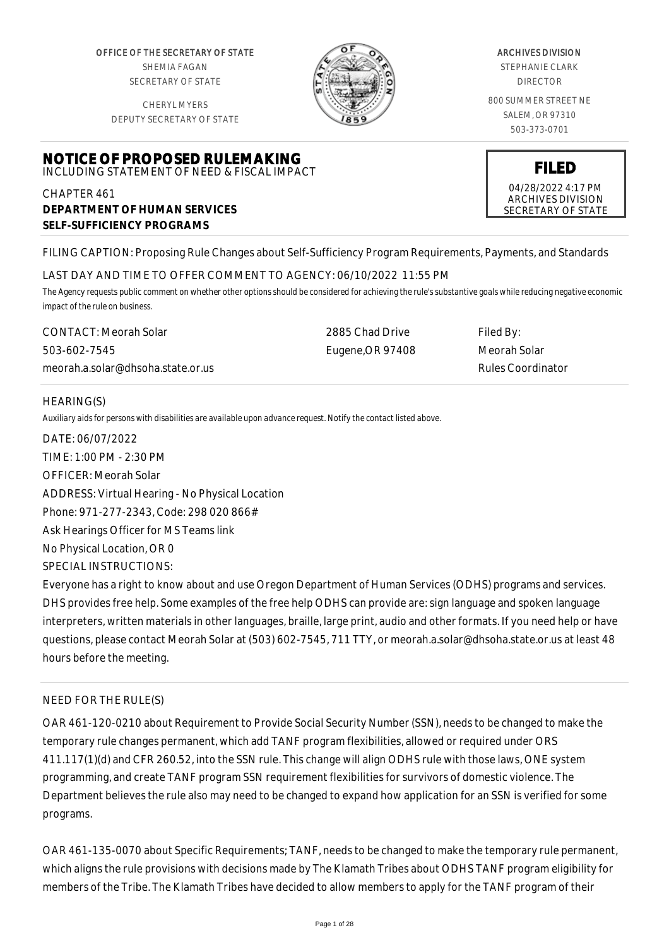OFFICE OF THE SECRETARY OF STATE SHEMIA FAGAN SECRETARY OF STATE

CHERYL MYERS DEPUTY SECRETARY OF STATE



# CHAPTER 461 **DEPARTMENT OF HUMAN SERVICES SELF-SUFFICIENCY PROGRAMS**

FILING CAPTION: Proposing Rule Changes about Self-Sufficiency Program Requirements, Payments, and Standards

#### LAST DAY AND TIME TO OFFER COMMENT TO AGENCY: 06/10/2022 11:55 PM

*The Agency requests public comment on whether other options should be considered for achieving the rule's substantive goals while reducing negative economic impact of the rule on business.*

CONTACT: Meorah Solar 503-602-7545 meorah.a.solar@dhsoha.state.or.us 2885 Chad Drive Eugene,OR 97408 Filed By: Meorah Solar Rules Coordinator

# HEARING(S)

*Auxiliary aids for persons with disabilities are available upon advance request. Notify the contact listed above.*

DATE: 06/07/2022 TIME: 1:00 PM - 2:30 PM OFFICER: Meorah Solar ADDRESS: Virtual Hearing - No Physical Location Phone: 971-277-2343, Code: 298 020 866# Ask Hearings Officer for MS Teams link No Physical Location, OR 0 SPECIAL INSTRUCTIONS: Everyone has a right to know about and use Oregon Department of Human Services (ODHS) programs and services.

DHS provides free help. Some examples of the free help ODHS can provide are: sign language and spoken language interpreters, written materials in other languages, braille, large print, audio and other formats. If you need help or have questions, please contact Meorah Solar at (503) 602-7545, 711 TTY, or meorah.a.solar@dhsoha.state.or.us at least 48 hours before the meeting.

# NEED FOR THE RULE(S)

OAR 461-120-0210 about Requirement to Provide Social Security Number (SSN), needs to be changed to make the temporary rule changes permanent, which add TANF program flexibilities, allowed or required under ORS 411.117(1)(d) and CFR 260.52, into the SSN rule. This change will align ODHS rule with those laws, ONE system programming, and create TANF program SSN requirement flexibilities for survivors of domestic violence. The Department believes the rule also may need to be changed to expand how application for an SSN is verified for some programs.

OAR 461-135-0070 about Specific Requirements; TANF, needs to be changed to make the temporary rule permanent, which aligns the rule provisions with decisions made by The Klamath Tribes about ODHS TANF program eligibility for members of the Tribe. The Klamath Tribes have decided to allow members to apply for the TANF program of their

#### ARCHIVES DIVISION

STEPHANIE CLARK DIRECTOR

800 SUMMER STREET NE SALEM, OR 97310 503-373-0701

**FILED** 04/28/2022 4:17 PM ARCHIVES DIVISION SECRETARY OF STATE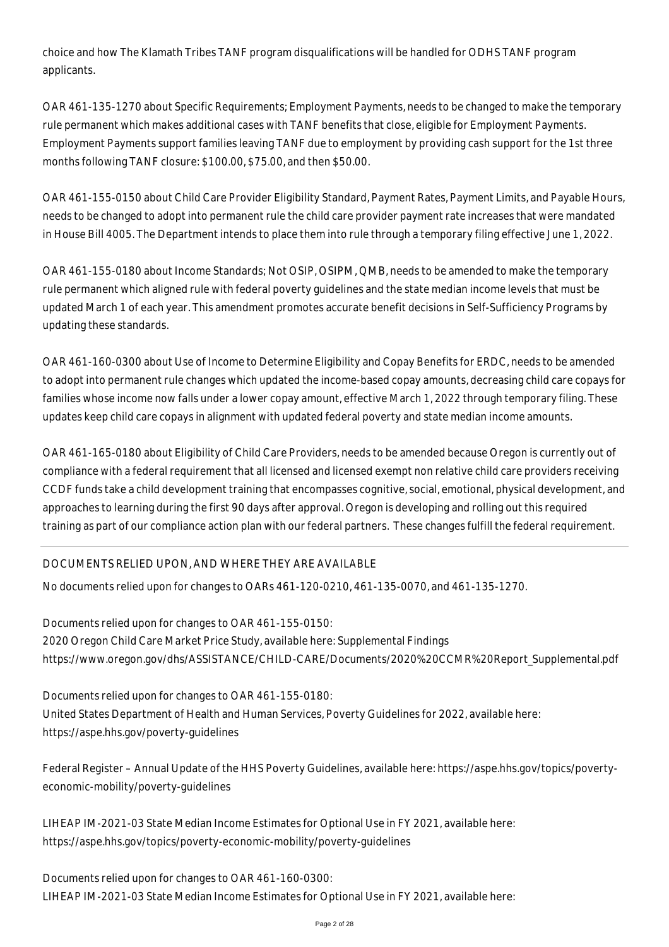choice and how The Klamath Tribes TANF program disqualifications will be handled for ODHS TANF program applicants.

OAR 461-135-1270 about Specific Requirements; Employment Payments, needs to be changed to make the temporary rule permanent which makes additional cases with TANF benefits that close, eligible for Employment Payments. Employment Payments support families leaving TANF due to employment by providing cash support for the 1st three months following TANF closure: \$100.00, \$75.00, and then \$50.00.

OAR 461-155-0150 about Child Care Provider Eligibility Standard, Payment Rates, Payment Limits, and Payable Hours, needs to be changed to adopt into permanent rule the child care provider payment rate increases that were mandated in House Bill 4005. The Department intends to place them into rule through a temporary filing effective June 1, 2022.

OAR 461-155-0180 about Income Standards; Not OSIP, OSIPM, QMB, needs to be amended to make the temporary rule permanent which aligned rule with federal poverty guidelines and the state median income levels that must be updated March 1 of each year. This amendment promotes accurate benefit decisions in Self-Sufficiency Programs by updating these standards.

OAR 461-160-0300 about Use of Income to Determine Eligibility and Copay Benefits for ERDC, needs to be amended to adopt into permanent rule changes which updated the income-based copay amounts, decreasing child care copays for families whose income now falls under a lower copay amount, effective March 1, 2022 through temporary filing. These updates keep child care copays in alignment with updated federal poverty and state median income amounts.

OAR 461-165-0180 about Eligibility of Child Care Providers, needs to be amended because Oregon is currently out of compliance with a federal requirement that all licensed and licensed exempt non relative child care providers receiving CCDF funds take a child development training that encompasses cognitive, social, emotional, physical development, and approaches to learning during the first 90 days after approval. Oregon is developing and rolling out this required training as part of our compliance action plan with our federal partners. These changes fulfill the federal requirement.

# DOCUMENTS RELIED UPON, AND WHERE THEY ARE AVAILABLE

No documents relied upon for changes to OARs 461-120-0210, 461-135-0070, and 461-135-1270.

Documents relied upon for changes to OAR 461-155-0150: 2020 Oregon Child Care Market Price Study, available here: Supplemental Findings https://www.oregon.gov/dhs/ASSISTANCE/CHILD-CARE/Documents/2020%20CCMR%20Report\_Supplemental.pdf

Documents relied upon for changes to OAR 461-155-0180: United States Department of Health and Human Services, Poverty Guidelines for 2022, available here: https://aspe.hhs.gov/poverty-guidelines

Federal Register – Annual Update of the HHS Poverty Guidelines, available here: https://aspe.hhs.gov/topics/povertyeconomic-mobility/poverty-guidelines

LIHEAP IM-2021-03 State Median Income Estimates for Optional Use in FY 2021, available here: https://aspe.hhs.gov/topics/poverty-economic-mobility/poverty-guidelines

Documents relied upon for changes to OAR 461-160-0300: LIHEAP IM-2021-03 State Median Income Estimates for Optional Use in FY 2021, available here: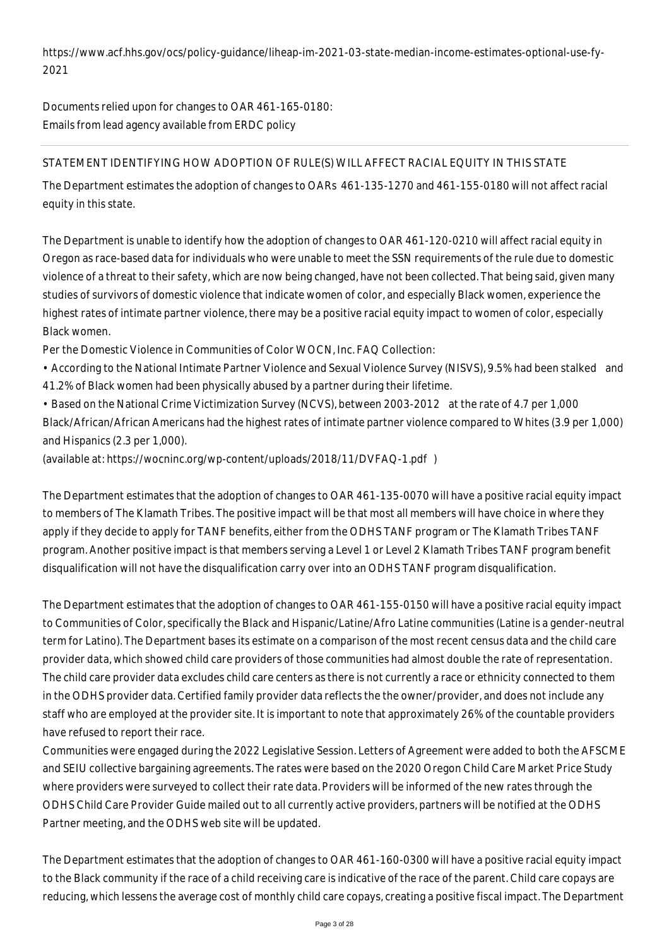https://www.acf.hhs.gov/ocs/policy-guidance/liheap-im-2021-03-state-median-income-estimates-optional-use-fy-2021

Documents relied upon for changes to OAR 461-165-0180: Emails from lead agency available from ERDC policy

# STATEMENT IDENTIFYING HOW ADOPTION OF RULE(S) WILL AFFECT RACIAL EQUITY IN THIS STATE

The Department estimates the adoption of changes to OARs 461-135-1270 and 461-155-0180 will not affect racial equity in this state.

The Department is unable to identify how the adoption of changes to OAR 461-120-0210 will affect racial equity in Oregon as race-based data for individuals who were unable to meet the SSN requirements of the rule due to domestic violence of a threat to their safety, which are now being changed, have not been collected. That being said, given many studies of survivors of domestic violence that indicate women of color, and especially Black women, experience the highest rates of intimate partner violence, there may be a positive racial equity impact to women of color, especially Black women.

Per the Domestic Violence in Communities of Color WOCN, Inc. FAQ Collection:

- According to the National Intimate Partner Violence and Sexual Violence Survey (NISVS), 9.5% had been stalked and 41.2% of Black women had been physically abused by a partner during their lifetime.
- Based on the National Crime Victimization Survey (NCVS), between 2003-2012 at the rate of 4.7 per 1,000 Black/African/African Americans had the highest rates of intimate partner violence compared to Whites (3.9 per 1,000) and Hispanics (2.3 per 1,000).

(available at: https://wocninc.org/wp-content/uploads/2018/11/DVFAQ-1.pdf )

The Department estimates that the adoption of changes to OAR 461-135-0070 will have a positive racial equity impact to members of The Klamath Tribes. The positive impact will be that most all members will have choice in where they apply if they decide to apply for TANF benefits, either from the ODHS TANF program or The Klamath Tribes TANF program. Another positive impact is that members serving a Level 1 or Level 2 Klamath Tribes TANF program benefit disqualification will not have the disqualification carry over into an ODHS TANF program disqualification.

The Department estimates that the adoption of changes to OAR 461-155-0150 will have a positive racial equity impact to Communities of Color, specifically the Black and Hispanic/Latine/Afro Latine communities (Latine is a gender-neutral term for Latino). The Department bases its estimate on a comparison of the most recent census data and the child care provider data, which showed child care providers of those communities had almost double the rate of representation. The child care provider data excludes child care centers as there is not currently a race or ethnicity connected to them in the ODHS provider data. Certified family provider data reflects the the owner/provider, and does not include any staff who are employed at the provider site. It is important to note that approximately 26% of the countable providers have refused to report their race.

Communities were engaged during the 2022 Legislative Session. Letters of Agreement were added to both the AFSCME and SEIU collective bargaining agreements. The rates were based on the 2020 Oregon Child Care Market Price Study where providers were surveyed to collect their rate data. Providers will be informed of the new rates through the ODHS Child Care Provider Guide mailed out to all currently active providers, partners will be notified at the ODHS Partner meeting, and the ODHS web site will be updated.

The Department estimates that the adoption of changes to OAR 461-160-0300 will have a positive racial equity impact to the Black community if the race of a child receiving care is indicative of the race of the parent. Child care copays are reducing, which lessens the average cost of monthly child care copays, creating a positive fiscal impact. The Department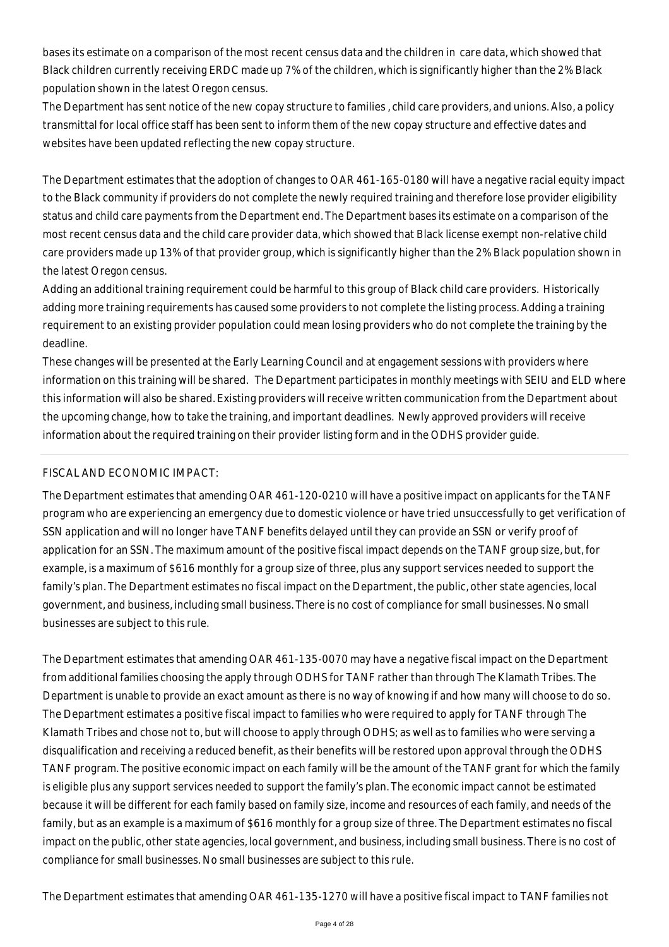bases its estimate on a comparison of the most recent census data and the children in care data, which showed that Black children currently receiving ERDC made up 7% of the children, which is significantly higher than the 2% Black population shown in the latest Oregon census.

The Department has sent notice of the new copay structure to families , child care providers, and unions. Also, a policy transmittal for local office staff has been sent to inform them of the new copay structure and effective dates and websites have been updated reflecting the new copay structure.

The Department estimates that the adoption of changes to OAR 461-165-0180 will have a negative racial equity impact to the Black community if providers do not complete the newly required training and therefore lose provider eligibility status and child care payments from the Department end. The Department bases its estimate on a comparison of the most recent census data and the child care provider data, which showed that Black license exempt non-relative child care providers made up 13% of that provider group, which is significantly higher than the 2% Black population shown in the latest Oregon census.

Adding an additional training requirement could be harmful to this group of Black child care providers. Historically adding more training requirements has caused some providers to not complete the listing process. Adding a training requirement to an existing provider population could mean losing providers who do not complete the training by the deadline.

These changes will be presented at the Early Learning Council and at engagement sessions with providers where information on this training will be shared. The Department participates in monthly meetings with SEIU and ELD where this information will also be shared. Existing providers will receive written communication from the Department about the upcoming change, how to take the training, and important deadlines. Newly approved providers will receive information about the required training on their provider listing form and in the ODHS provider guide.

#### FISCAL AND ECONOMIC IMPACT:

The Department estimates that amending OAR 461-120-0210 will have a positive impact on applicants for the TANF program who are experiencing an emergency due to domestic violence or have tried unsuccessfully to get verification of SSN application and will no longer have TANF benefits delayed until they can provide an SSN or verify proof of application for an SSN. The maximum amount of the positive fiscal impact depends on the TANF group size, but, for example, is a maximum of \$616 monthly for a group size of three, plus any support services needed to support the family's plan. The Department estimates no fiscal impact on the Department, the public, other state agencies, local government, and business, including small business. There is no cost of compliance for small businesses. No small businesses are subject to this rule.

The Department estimates that amending OAR 461-135-0070 may have a negative fiscal impact on the Department from additional families choosing the apply through ODHS for TANF rather than through The Klamath Tribes. The Department is unable to provide an exact amount as there is no way of knowing if and how many will choose to do so. The Department estimates a positive fiscal impact to families who were required to apply for TANF through The Klamath Tribes and chose not to, but will choose to apply through ODHS; as well as to families who were serving a disqualification and receiving a reduced benefit, as their benefits will be restored upon approval through the ODHS TANF program. The positive economic impact on each family will be the amount of the TANF grant for which the family is eligible plus any support services needed to support the family's plan. The economic impact cannot be estimated because it will be different for each family based on family size, income and resources of each family, and needs of the family, but as an example is a maximum of \$616 monthly for a group size of three. The Department estimates no fiscal impact on the public, other state agencies, local government, and business, including small business. There is no cost of compliance for small businesses. No small businesses are subject to this rule.

The Department estimates that amending OAR 461-135-1270 will have a positive fiscal impact to TANF families not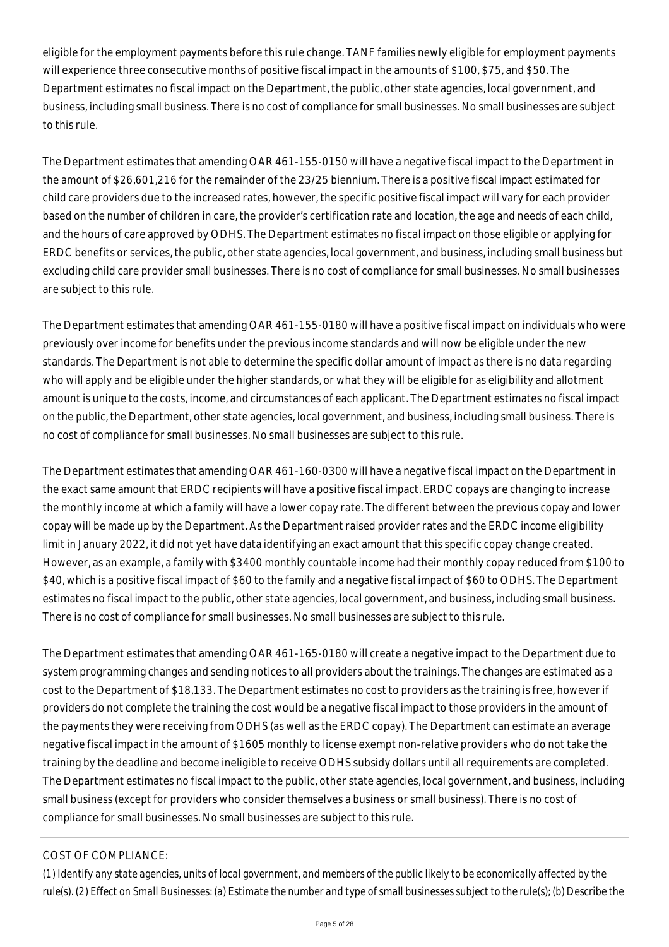eligible for the employment payments before this rule change. TANF families newly eligible for employment payments will experience three consecutive months of positive fiscal impact in the amounts of \$100, \$75, and \$50. The Department estimates no fiscal impact on the Department, the public, other state agencies, local government, and business, including small business. There is no cost of compliance for small businesses. No small businesses are subject to this rule.

The Department estimates that amending OAR 461-155-0150 will have a negative fiscal impact to the Department in the amount of \$26,601,216 for the remainder of the 23/25 biennium. There is a positive fiscal impact estimated for child care providers due to the increased rates, however, the specific positive fiscal impact will vary for each provider based on the number of children in care, the provider's certification rate and location, the age and needs of each child, and the hours of care approved by ODHS. The Department estimates no fiscal impact on those eligible or applying for ERDC benefits or services, the public, other state agencies, local government, and business, including small business but excluding child care provider small businesses. There is no cost of compliance for small businesses. No small businesses are subject to this rule.

The Department estimates that amending OAR 461-155-0180 will have a positive fiscal impact on individuals who were previously over income for benefits under the previous income standards and will now be eligible under the new standards. The Department is not able to determine the specific dollar amount of impact as there is no data regarding who will apply and be eligible under the higher standards, or what they will be eligible for as eligibility and allotment amount is unique to the costs, income, and circumstances of each applicant. The Department estimates no fiscal impact on the public, the Department, other state agencies, local government, and business, including small business. There is no cost of compliance for small businesses. No small businesses are subject to this rule.

The Department estimates that amending OAR 461-160-0300 will have a negative fiscal impact on the Department in the exact same amount that ERDC recipients will have a positive fiscal impact. ERDC copays are changing to increase the monthly income at which a family will have a lower copay rate. The different between the previous copay and lower copay will be made up by the Department. As the Department raised provider rates and the ERDC income eligibility limit in January 2022, it did not yet have data identifying an exact amount that this specific copay change created. However, as an example, a family with \$3400 monthly countable income had their monthly copay reduced from \$100 to \$40, which is a positive fiscal impact of \$60 to the family and a negative fiscal impact of \$60 to ODHS. The Department estimates no fiscal impact to the public, other state agencies, local government, and business, including small business. There is no cost of compliance for small businesses. No small businesses are subject to this rule.

The Department estimates that amending OAR 461-165-0180 will create a negative impact to the Department due to system programming changes and sending notices to all providers about the trainings. The changes are estimated as a cost to the Department of \$18,133. The Department estimates no cost to providers as the training is free, however if providers do not complete the training the cost would be a negative fiscal impact to those providers in the amount of the payments they were receiving from ODHS (as well as the ERDC copay). The Department can estimate an average negative fiscal impact in the amount of \$1605 monthly to license exempt non-relative providers who do not take the training by the deadline and become ineligible to receive ODHS subsidy dollars until all requirements are completed. The Department estimates no fiscal impact to the public, other state agencies, local government, and business, including small business (except for providers who consider themselves a business or small business). There is no cost of compliance for small businesses. No small businesses are subject to this rule.

# COST OF COMPLIANCE:

*(1) Identify any state agencies, units of local government, and members of the public likely to be economically affected by the rule(s). (2) Effect on Small Businesses: (a) Estimate the number and type of small businesses subject to the rule(s); (b) Describe the*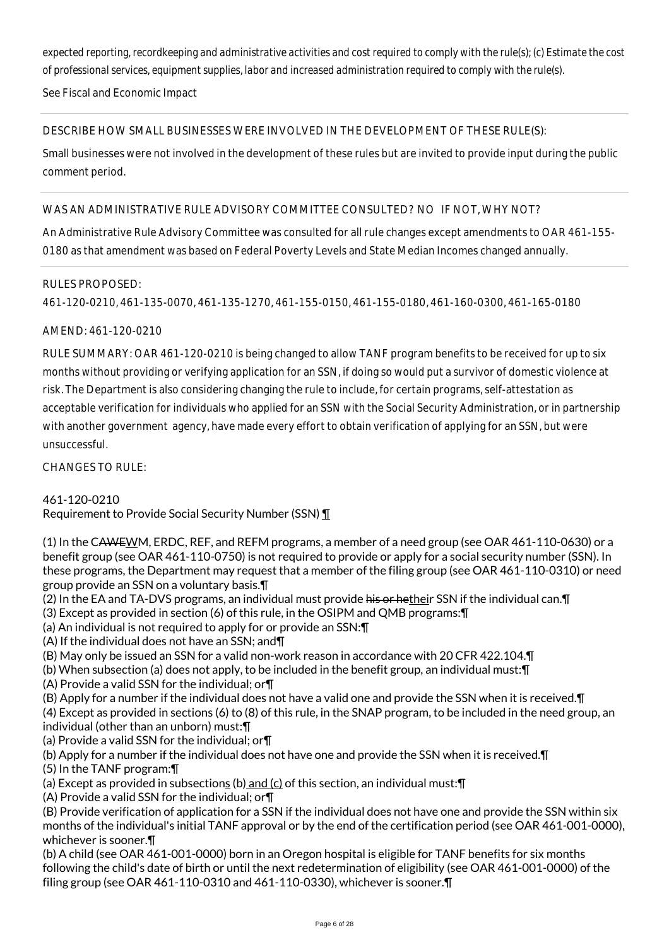*expected reporting, recordkeeping and administrative activities and cost required to comply with the rule(s); (c) Estimate the cost of professional services, equipment supplies, labor and increased administration required to comply with the rule(s).*

See Fiscal and Economic Impact

## DESCRIBE HOW SMALL BUSINESSES WERE INVOLVED IN THE DEVELOPMENT OF THESE RULE(S):

Small businesses were not involved in the development of these rules but are invited to provide input during the public comment period.

## WAS AN ADMINISTRATIVE RULE ADVISORY COMMITTEE CONSULTED? NO IF NOT, WHY NOT?

An Administrative Rule Advisory Committee was consulted for all rule changes except amendments to OAR 461-155- 0180 as that amendment was based on Federal Poverty Levels and State Median Incomes changed annually.

#### RULES PROPOSED:

461-120-0210, 461-135-0070, 461-135-1270, 461-155-0150, 461-155-0180, 461-160-0300, 461-165-0180

# AMEND: 461-120-0210

RULE SUMMARY: OAR 461-120-0210 is being changed to allow TANF program benefits to be received for up to six months without providing or verifying application for an SSN, if doing so would put a survivor of domestic violence at risk. The Department is also considering changing the rule to include, for certain programs, self-attestation as acceptable verification for individuals who applied for an SSN with the Social Security Administration, or in partnership with another government agency, have made every effort to obtain verification of applying for an SSN, but were unsuccessful.

CHANGES TO RULE:

461-120-0210

Requirement to Provide Social Security Number (SSN) ¶

(1) In the CAWEWM, ERDC, REF, and REFM programs, a member of a need group (see OAR 461-110-0630) or a benefit group (see OAR 461-110-0750) is not required to provide or apply for a social security number (SSN). In these programs, the Department may request that a member of the filing group (see OAR 461-110-0310) or need group provide an SSN on a voluntary basis.¶

- (2) In the EA and TA-DVS programs, an individual must provide his or hetheir SSN if the individual can. The individual can.
- (3) Except as provided in section (6) of this rule, in the OSIPM and QMB programs:¶
- (a) An individual is not required to apply for or provide an SSN:¶
- (A) If the individual does not have an SSN; and¶
- (B) May only be issued an SSN for a valid non-work reason in accordance with 20 CFR 422.104.¶
- (b) When subsection (a) does not apply, to be included in the benefit group, an individual must:¶
- (A) Provide a valid SSN for the individual; or¶
- (B) Apply for a number if the individual does not have a valid one and provide the SSN when it is received.¶
- (4) Except as provided in sections (6) to (8) of this rule, in the SNAP program, to be included in the need group, an
- individual (other than an unborn) must:¶
- (a) Provide a valid SSN for the individual; or¶
- (b) Apply for a number if the individual does not have one and provide the SSN when it is received.¶
- (5) In the TANF program:¶
- (a) Except as provided in subsections (b) and  $(c)$  of this section, an individual must: $\P$
- (A) Provide a valid SSN for the individual; or¶

(B) Provide verification of application for a SSN if the individual does not have one and provide the SSN within six months of the individual's initial TANF approval or by the end of the certification period (see OAR 461-001-0000), whichever is sooner.¶

(b) A child (see OAR 461-001-0000) born in an Oregon hospital is eligible for TANF benefits for six months following the child's date of birth or until the next redetermination of eligibility (see OAR 461-001-0000) of the filing group (see OAR 461-110-0310 and 461-110-0330), whichever is sooner.¶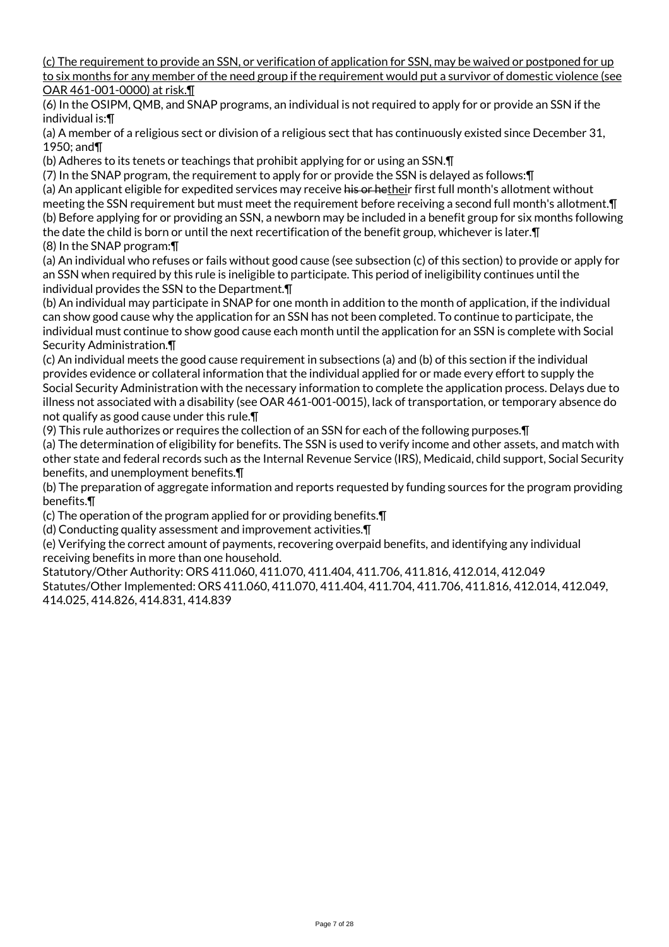(c) The requirement to provide an SSN, or verification of application for SSN, may be waived or postponed for up to six months for any member of the need group if the requirement would put a survivor of domestic violence (see OAR 461-001-0000) at risk.¶

(6) In the OSIPM, QMB, and SNAP programs, an individual is not required to apply for or provide an SSN if the individual is:¶

(a) A member of a religious sect or division of a religious sect that has continuously existed since December 31, 1950; and¶

(b) Adheres to its tenets or teachings that prohibit applying for or using an SSN.¶

(7) In the SNAP program, the requirement to apply for or provide the SSN is delayed as follows:¶

(a) An applicant eligible for expedited services may receive his or hetheir first full month's allotment without meeting the SSN requirement but must meet the requirement before receiving a second full month's allotment.¶ (b) Before applying for or providing an SSN, a newborn may be included in a benefit group for six months following the date the child is born or until the next recertification of the benefit group, whichever is later.¶ (8) In the SNAP program:¶

(a) An individual who refuses or fails without good cause (see subsection (c) of this section) to provide or apply for an SSN when required by this rule is ineligible to participate. This period of ineligibility continues until the individual provides the SSN to the Department.¶

(b) An individual may participate in SNAP for one month in addition to the month of application, if the individual can show good cause why the application for an SSN has not been completed. To continue to participate, the individual must continue to show good cause each month until the application for an SSN is complete with Social Security Administration.¶

(c) An individual meets the good cause requirement in subsections (a) and (b) of this section if the individual provides evidence or collateral information that the individual applied for or made every effort to supply the Social Security Administration with the necessary information to complete the application process. Delays due to illness not associated with a disability (see OAR 461-001-0015), lack of transportation, or temporary absence do not qualify as good cause under this rule.¶

(9) This rule authorizes or requires the collection of an SSN for each of the following purposes.¶

(a) The determination of eligibility for benefits. The SSN is used to verify income and other assets, and match with other state and federal records such as the Internal Revenue Service (IRS), Medicaid, child support, Social Security benefits, and unemployment benefits.¶

(b) The preparation of aggregate information and reports requested by funding sources for the program providing benefits.¶

(c) The operation of the program applied for or providing benefits.¶

(d) Conducting quality assessment and improvement activities.¶

(e) Verifying the correct amount of payments, recovering overpaid benefits, and identifying any individual receiving benefits in more than one household.

Statutory/Other Authority: ORS 411.060, 411.070, 411.404, 411.706, 411.816, 412.014, 412.049 Statutes/Other Implemented: ORS 411.060, 411.070, 411.404, 411.704, 411.706, 411.816, 412.014, 412.049, 414.025, 414.826, 414.831, 414.839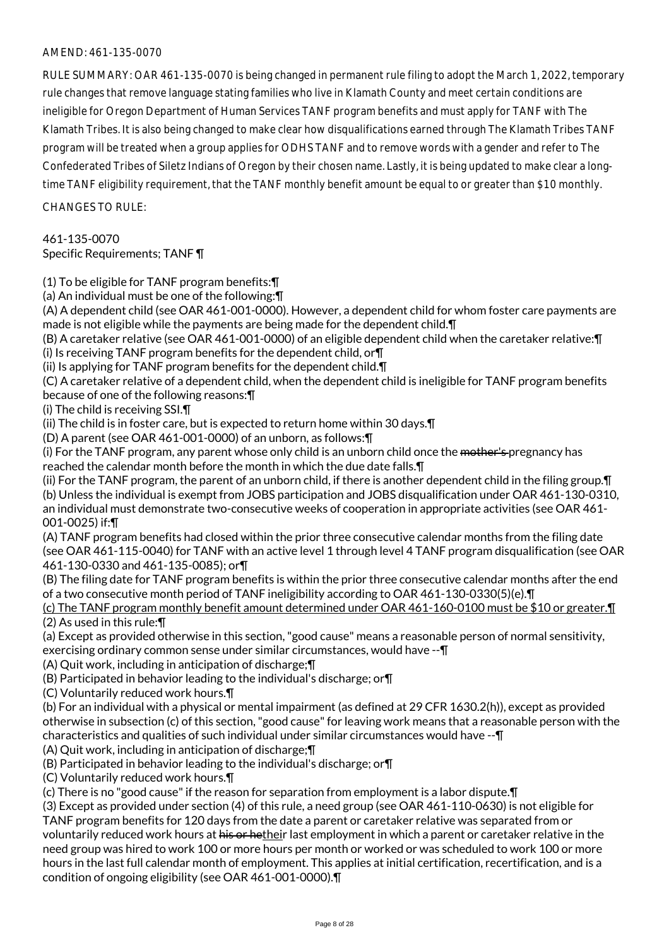## AMEND: 461-135-0070

RULE SUMMARY: OAR 461-135-0070 is being changed in permanent rule filing to adopt the March 1, 2022, temporary rule changes that remove language stating families who live in Klamath County and meet certain conditions are ineligible for Oregon Department of Human Services TANF program benefits and must apply for TANF with The Klamath Tribes. It is also being changed to make clear how disqualifications earned through The Klamath Tribes TANF program will be treated when a group applies for ODHS TANF and to remove words with a gender and refer to The Confederated Tribes of Siletz Indians of Oregon by their chosen name. Lastly, it is being updated to make clear a longtime TANF eligibility requirement, that the TANF monthly benefit amount be equal to or greater than \$10 monthly.

 $CHANGFS TO RIIF$ 

#### 461-135-0070

Specific Requirements; TANF ¶

(1) To be eligible for TANF program benefits:¶

(a) An individual must be one of the following:¶

(A) A dependent child (see OAR 461-001-0000). However, a dependent child for whom foster care payments are made is not eligible while the payments are being made for the dependent child.¶

(B) A caretaker relative (see OAR 461-001-0000) of an eligible dependent child when the caretaker relative:¶ (i) Is receiving TANF program benefits for the dependent child, or¶

(ii) Is applying for TANF program benefits for the dependent child.¶

(C) A caretaker relative of a dependent child, when the dependent child is ineligible for TANF program benefits because of one of the following reasons:¶

(i) The child is receiving SSI.¶

(ii) The child is in foster care, but is expected to return home within 30 days.¶

(D) A parent (see OAR 461-001-0000) of an unborn, as follows:¶

(i) For the TANF program, any parent whose only child is an unborn child once the <del>mother's p</del>regnancy has reached the calendar month before the month in which the due date falls.¶

(ii) For the TANF program, the parent of an unborn child, if there is another dependent child in the filing group.¶

(b) Unless the individual is exempt from JOBS participation and JOBS disqualification under OAR 461-130-0310, an individual must demonstrate two-consecutive weeks of cooperation in appropriate activities (see OAR 461- 001-0025) if:¶

(A) TANF program benefits had closed within the prior three consecutive calendar months from the filing date (see OAR 461-115-0040) for TANF with an active level 1 through level 4 TANF program disqualification (see OAR 461-130-0330 and 461-135-0085); or¶

(B) The filing date for TANF program benefits is within the prior three consecutive calendar months after the end of a two consecutive month period of TANF ineligibility according to OAR 461-130-0330(5)(e).¶

(c) The TANF program monthly benefit amount determined under OAR 461-160-0100 must be \$10 or greater.¶ (2) As used in this rule:¶

(a) Except as provided otherwise in this section, "good cause" means a reasonable person of normal sensitivity, exercising ordinary common sense under similar circumstances, would have --¶

(A) Quit work, including in anticipation of discharge;¶

(B) Participated in behavior leading to the individual's discharge; or¶

(C) Voluntarily reduced work hours.¶

(b) For an individual with a physical or mental impairment (as defined at 29 CFR 1630.2(h)), except as provided otherwise in subsection (c) of this section, "good cause" for leaving work means that a reasonable person with the characteristics and qualities of such individual under similar circumstances would have --¶

(A) Quit work, including in anticipation of discharge;¶

(B) Participated in behavior leading to the individual's discharge; or¶

(C) Voluntarily reduced work hours.¶

(c) There is no "good cause" if the reason for separation from employment is a labor dispute.¶

(3) Except as provided under section (4) of this rule, a need group (see OAR 461-110-0630) is not eligible for TANF program benefits for 120 days from the date a parent or caretaker relative was separated from or voluntarily reduced work hours at his or hetheir last employment in which a parent or caretaker relative in the

need group was hired to work 100 or more hours per month or worked or was scheduled to work 100 or more hours in the last full calendar month of employment. This applies at initial certification, recertification, and is a condition of ongoing eligibility (see OAR 461-001-0000).¶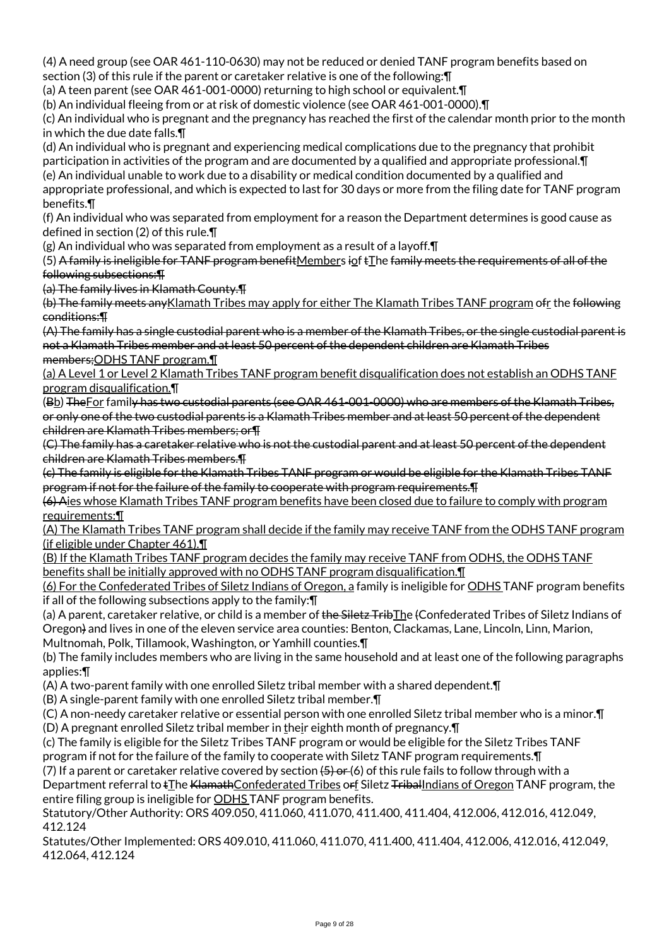(4) A need group (see OAR 461-110-0630) may not be reduced or denied TANF program benefits based on section (3) of this rule if the parent or caretaker relative is one of the following:¶

(a) A teen parent (see OAR 461-001-0000) returning to high school or equivalent.¶

(b) An individual fleeing from or at risk of domestic violence (see OAR 461-001-0000).¶

(c) An individual who is pregnant and the pregnancy has reached the first of the calendar month prior to the month in which the due date falls.¶

(d) An individual who is pregnant and experiencing medical complications due to the pregnancy that prohibit participation in activities of the program and are documented by a qualified and appropriate professional.¶ (e) An individual unable to work due to a disability or medical condition documented by a qualified and appropriate professional, and which is expected to last for 30 days or more from the filing date for TANF program benefits.¶

(f) An individual who was separated from employment for a reason the Department determines is good cause as defined in section (2) of this rule.¶

 $(g)$  An individual who was separated from employment as a result of a layoff.  $\P$ 

(5) A family is ineligible for TANF program benefitMembers iof tIhe family meets the requirements of all of the following subsections:¶

(a) The family lives in Klamath County.¶

(b) The family meets anyKlamath Tribes may apply for either The Klamath Tribes TANF program ofr the following conditions:¶

(A) The family has a single custodial parent who is a member of the Klamath Tribes, or the single custodial parent is not a Klamath Tribes member and at least 50 percent of the dependent children are Klamath Tribes members;ODHS TANF program.¶

(a) A Level 1 or Level 2 Klamath Tribes TANF program benefit disqualification does not establish an ODHS TANF program disqualification.¶

(Bb) TheFor family has two custodial parents (see OAR 461-001-0000) who are members of the Klamath Tribes, or only one of the two custodial parents is a Klamath Tribes member and at least 50 percent of the dependent children are Klamath Tribes members; or¶

(C) The family has a caretaker relative who is not the custodial parent and at least 50 percent of the dependent children are Klamath Tribes members.¶

(c) The family is eligible for the Klamath Tribes TANF program or would be eligible for the Klamath Tribes TANF program if not for the failure of the family to cooperate with program requirements.¶

(6) Aies whose Klamath Tribes TANF program benefits have been closed due to failure to comply with program requirements:¶

(A) The Klamath Tribes TANF program shall decide if the family may receive TANF from the ODHS TANF program (if eligible under Chapter 461).¶

(B) If the Klamath Tribes TANF program decides the family may receive TANF from ODHS, the ODHS TANF benefits shall be initially approved with no ODHS TANF program disqualification.¶

(6) For the Confederated Tribes of Siletz Indians of Oregon, a family is ineligible for ODHS TANF program benefits if all of the following subsections apply to the family:¶

(a) A parent, caretaker relative, or child is a member of the Siletz TribThe (Confederated Tribes of Siletz Indians of Oregon) and lives in one of the eleven service area counties: Benton, Clackamas, Lane, Lincoln, Linn, Marion, Multnomah, Polk, Tillamook, Washington, or Yamhill counties.¶

(b) The family includes members who are living in the same household and at least one of the following paragraphs applies:¶

(A) A two-parent family with one enrolled Siletz tribal member with a shared dependent.¶

(B) A single-parent family with one enrolled Siletz tribal member.¶

(C) A non-needy caretaker relative or essential person with one enrolled Siletz tribal member who is a minor.¶ (D) A pregnant enrolled Siletz tribal member in their eighth month of pregnancy.¶

(c) The family is eligible for the Siletz Tribes TANF program or would be eligible for the Siletz Tribes TANF program if not for the failure of the family to cooperate with Siletz TANF program requirements.¶

(7) If a parent or caretaker relative covered by section  $(5)$  or (6) of this rule fails to follow through with a Department referral to tThe KlamathConfederated Tribes orf Siletz TribalIndians of Oregon TANF program, the entire filing group is ineligible for **ODHS** TANF program benefits.

Statutory/Other Authority: ORS 409.050, 411.060, 411.070, 411.400, 411.404, 412.006, 412.016, 412.049, 412.124

Statutes/Other Implemented: ORS 409.010, 411.060, 411.070, 411.400, 411.404, 412.006, 412.016, 412.049, 412.064, 412.124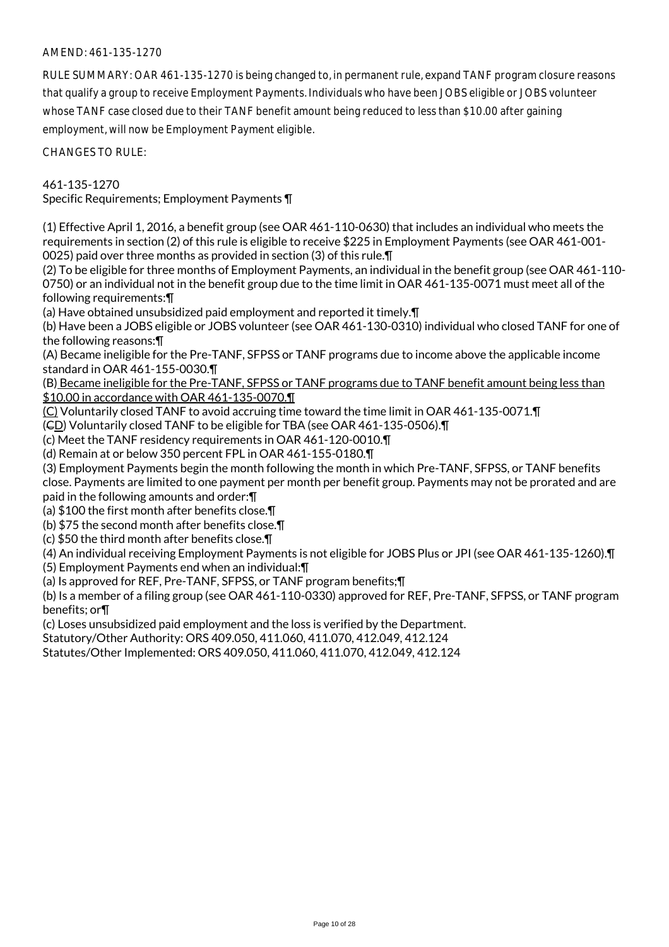## AMEND: 461-135-1270

RULE SUMMARY: OAR 461-135-1270 is being changed to, in permanent rule, expand TANF program closure reasons that qualify a group to receive Employment Payments. Individuals who have been JOBS eligible or JOBS volunteer whose TANF case closed due to their TANF benefit amount being reduced to less than \$10.00 after gaining employment, will now be Employment Payment eligible.

CHANGES TO RULE:

461-135-1270

Specific Requirements; Employment Payments ¶

(1) Effective April 1, 2016, a benefit group (see OAR 461-110-0630) that includes an individual who meets the requirements in section (2) of this rule is eligible to receive \$225 in Employment Payments (see OAR 461-001- 0025) paid over three months as provided in section (3) of this rule.¶

(2) To be eligible for three months of Employment Payments, an individual in the benefit group (see OAR 461-110- 0750) or an individual not in the benefit group due to the time limit in OAR 461-135-0071 must meet all of the following requirements:¶

(a) Have obtained unsubsidized paid employment and reported it timely.¶

(b) Have been a JOBS eligible or JOBS volunteer (see OAR 461-130-0310) individual who closed TANF for one of the following reasons:¶

(A) Became ineligible for the Pre-TANF, SFPSS or TANF programs due to income above the applicable income standard in OAR 461-155-0030.¶

(B) Became ineligible for the Pre-TANF, SFPSS or TANF programs due to TANF benefit amount being less than \$10.00 in accordance with OAR 461-135-0070.¶

(C) Voluntarily closed TANF to avoid accruing time toward the time limit in OAR 461-135-0071.¶

(CD) Voluntarily closed TANF to be eligible for TBA (see OAR 461-135-0506).¶

(c) Meet the TANF residency requirements in OAR 461-120-0010.¶

(d) Remain at or below 350 percent FPL in OAR 461-155-0180.¶

(3) Employment Payments begin the month following the month in which Pre-TANF, SFPSS, or TANF benefits close. Payments are limited to one payment per month per benefit group. Payments may not be prorated and are paid in the following amounts and order:¶

(a) \$100 the first month after benefits close.¶

(b) \$75 the second month after benefits close.¶

(c) \$50 the third month after benefits close.¶

(4) An individual receiving Employment Payments is not eligible for JOBS Plus or JPI (see OAR 461-135-1260).¶

(5) Employment Payments end when an individual:¶

(a) Is approved for REF, Pre-TANF, SFPSS, or TANF program benefits;¶

(b) Is a member of a filing group (see OAR 461-110-0330) approved for REF, Pre-TANF, SFPSS, or TANF program benefits; or¶

(c) Loses unsubsidized paid employment and the loss is verified by the Department.

Statutory/Other Authority: ORS 409.050, 411.060, 411.070, 412.049, 412.124

Statutes/Other Implemented: ORS 409.050, 411.060, 411.070, 412.049, 412.124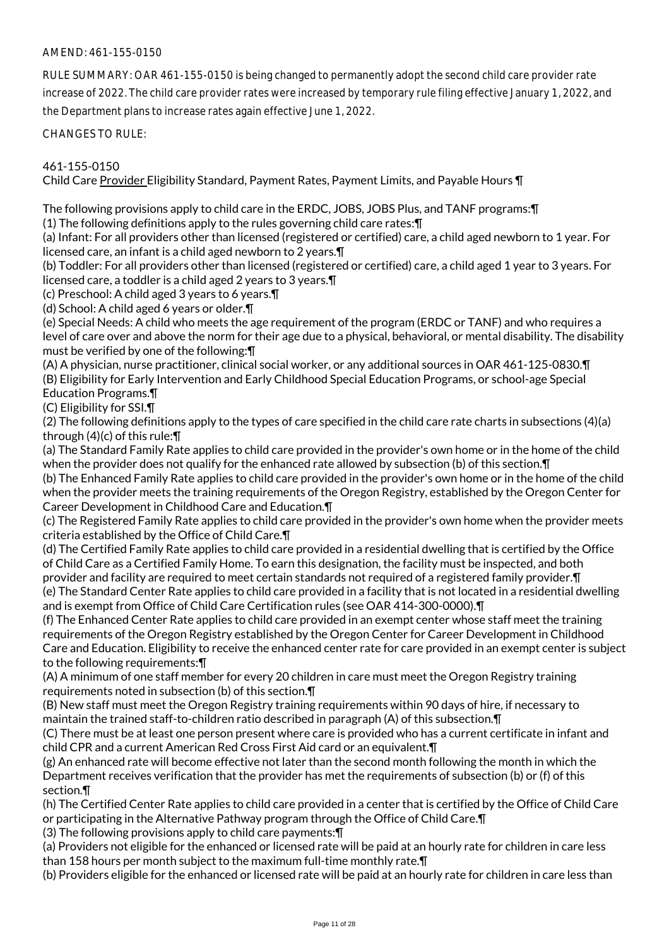## AMEND: 461-155-0150

RULE SUMMARY: OAR 461-155-0150 is being changed to permanently adopt the second child care provider rate increase of 2022. The child care provider rates were increased by temporary rule filing effective January 1, 2022, and the Department plans to increase rates again effective June 1, 2022.

CHANGES TO RULE:

#### 461-155-0150

Child Care Provider Eligibility Standard, Payment Rates, Payment Limits, and Payable Hours ¶

The following provisions apply to child care in the ERDC, JOBS, JOBS Plus, and TANF programs:¶

(1) The following definitions apply to the rules governing child care rates:¶

(a) Infant: For all providers other than licensed (registered or certified) care, a child aged newborn to 1 year. For licensed care, an infant is a child aged newborn to 2 years.¶

(b) Toddler: For all providers other than licensed (registered or certified) care, a child aged 1 year to 3 years. For licensed care, a toddler is a child aged 2 years to 3 years.¶

(c) Preschool: A child aged 3 years to 6 years.¶

(d) School: A child aged 6 years or older.¶

(e) Special Needs: A child who meets the age requirement of the program (ERDC or TANF) and who requires a level of care over and above the norm for their age due to a physical, behavioral, or mental disability. The disability must be verified by one of the following:¶

(A) A physician, nurse practitioner, clinical social worker, or any additional sources in OAR 461-125-0830.¶ (B) Eligibility for Early Intervention and Early Childhood Special Education Programs, or school-age Special Education Programs.¶

(C) Eligibility for SSI.¶

(2) The following definitions apply to the types of care specified in the child care rate charts in subsections (4)(a) through (4)(c) of this rule:¶

(a) The Standard Family Rate applies to child care provided in the provider's own home or in the home of the child when the provider does not qualify for the enhanced rate allowed by subsection (b) of this section. In

(b) The Enhanced Family Rate applies to child care provided in the provider's own home or in the home of the child when the provider meets the training requirements of the Oregon Registry, established by the Oregon Center for Career Development in Childhood Care and Education.¶

(c) The Registered Family Rate applies to child care provided in the provider's own home when the provider meets criteria established by the Office of Child Care.¶

(d) The Certified Family Rate applies to child care provided in a residential dwelling that is certified by the Office of Child Care as a Certified Family Home. To earn this designation, the facility must be inspected, and both provider and facility are required to meet certain standards not required of a registered family provider.¶ (e) The Standard Center Rate applies to child care provided in a facility that is not located in a residential dwelling and is exempt from Office of Child Care Certification rules (see OAR 414-300-0000).¶

(f) The Enhanced Center Rate applies to child care provided in an exempt center whose staff meet the training requirements of the Oregon Registry established by the Oregon Center for Career Development in Childhood Care and Education. Eligibility to receive the enhanced center rate for care provided in an exempt center is subject to the following requirements:¶

(A) A minimum of one staff member for every 20 children in care must meet the Oregon Registry training requirements noted in subsection (b) of this section.¶

(B) New staff must meet the Oregon Registry training requirements within 90 days of hire, if necessary to maintain the trained staff-to-children ratio described in paragraph (A) of this subsection.¶

(C) There must be at least one person present where care is provided who has a current certificate in infant and child CPR and a current American Red Cross First Aid card or an equivalent.¶

(g) An enhanced rate will become effective not later than the second month following the month in which the Department receives verification that the provider has met the requirements of subsection (b) or (f) of this section.¶

(h) The Certified Center Rate applies to child care provided in a center that is certified by the Office of Child Care or participating in the Alternative Pathway program through the Office of Child Care.¶

(3) The following provisions apply to child care payments:¶

(a) Providers not eligible for the enhanced or licensed rate will be paid at an hourly rate for children in care less than 158 hours per month subject to the maximum full-time monthly rate.¶

(b) Providers eligible for the enhanced or licensed rate will be paid at an hourly rate for children in care less than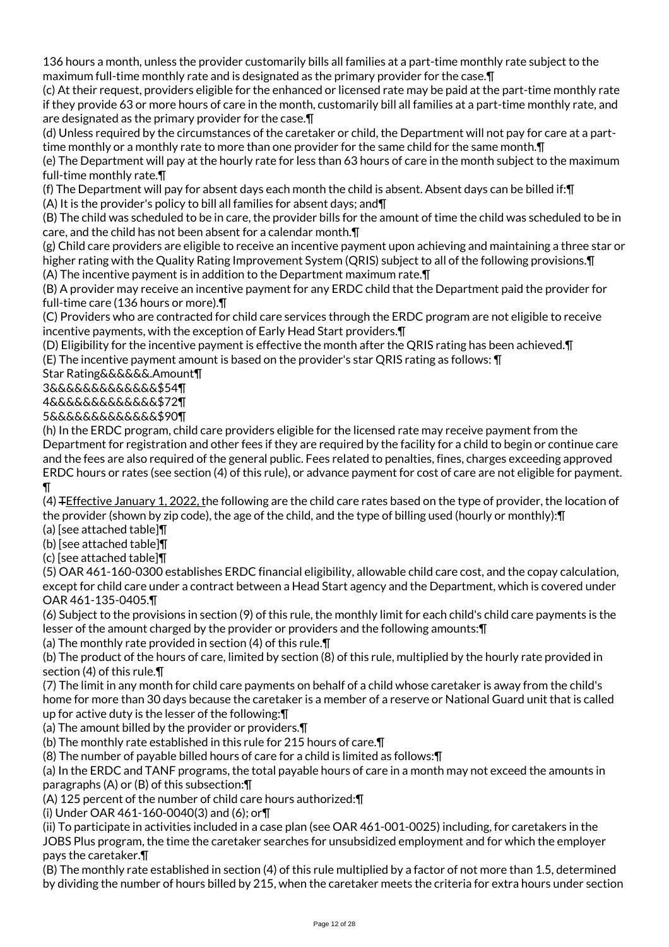136 hours a month, unless the provider customarily bills all families at a part-time monthly rate subject to the maximum full-time monthly rate and is designated as the primary provider for the case.¶

(c) At their request, providers eligible for the enhanced or licensed rate may be paid at the part-time monthly rate if they provide 63 or more hours of care in the month, customarily bill all families at a part-time monthly rate, and are designated as the primary provider for the case.¶

(d) Unless required by the circumstances of the caretaker or child, the Department will not pay for care at a parttime monthly or a monthly rate to more than one provider for the same child for the same month.¶

(e) The Department will pay at the hourly rate for less than 63 hours of care in the month subject to the maximum full-time monthly rate.¶

(f) The Department will pay for absent days each month the child is absent. Absent days can be billed if:¶

(A) It is the provider's policy to bill all families for absent days; and¶

(B) The child was scheduled to be in care, the provider bills for the amount of time the child was scheduled to be in care, and the child has not been absent for a calendar month.¶

(g) Child care providers are eligible to receive an incentive payment upon achieving and maintaining a three star or higher rating with the Quality Rating Improvement System (QRIS) subject to all of the following provisions. The (A) The incentive payment is in addition to the Department maximum rate.¶

(B) A provider may receive an incentive payment for any ERDC child that the Department paid the provider for full-time care (136 hours or more).¶

(C) Providers who are contracted for child care services through the ERDC program are not eligible to receive incentive payments, with the exception of Early Head Start providers.¶

(D) Eligibility for the incentive payment is effective the month after the QRIS rating has been achieved.¶

(E) The incentive payment amount is based on the provider's star QRIS rating as follows: ¶

Star Rating&&&&&&.Amount¶

3&&&&&&&&&&&&&\$54¶

4&&&&&&&&&&&&&\$72¶

5&&&&&&&&&&&&&\$90¶

(h) In the ERDC program, child care providers eligible for the licensed rate may receive payment from the Department for registration and other fees if they are required by the facility for a child to begin or continue care and the fees are also required of the general public. Fees related to penalties, fines, charges exceeding approved ERDC hours or rates (see section (4) of this rule), or advance payment for cost of care are not eligible for payment. ¶

(4) TEffective January 1, 2022, the following are the child care rates based on the type of provider, the location of the provider (shown by zip code), the age of the child, and the type of billing used (hourly or monthly):¶

(a) [see attached table]¶

(b) [see attached table]¶

(c) [see attached table]¶

(5) OAR 461-160-0300 establishes ERDC financial eligibility, allowable child care cost, and the copay calculation, except for child care under a contract between a Head Start agency and the Department, which is covered under OAR 461-135-0405.¶

(6) Subject to the provisions in section (9) of this rule, the monthly limit for each child's child care payments is the lesser of the amount charged by the provider or providers and the following amounts:¶

(a) The monthly rate provided in section (4) of this rule.¶

(b) The product of the hours of care, limited by section (8) of this rule, multiplied by the hourly rate provided in section (4) of this rule.¶

(7) The limit in any month for child care payments on behalf of a child whose caretaker is away from the child's home for more than 30 days because the caretaker is a member of a reserve or National Guard unit that is called up for active duty is the lesser of the following:¶

(a) The amount billed by the provider or providers.¶

(b) The monthly rate established in this rule for 215 hours of care.¶

(8) The number of payable billed hours of care for a child is limited as follows:¶

(a) In the ERDC and TANF programs, the total payable hours of care in a month may not exceed the amounts in paragraphs (A) or (B) of this subsection:¶

(A) 125 percent of the number of child care hours authorized:¶

(i) Under OAR 461-160-0040(3) and (6); or¶

(ii) To participate in activities included in a case plan (see OAR 461-001-0025) including, for caretakers in the JOBS Plus program, the time the caretaker searches for unsubsidized employment and for which the employer pays the caretaker.¶

(B) The monthly rate established in section (4) of this rule multiplied by a factor of not more than 1.5, determined by dividing the number of hours billed by 215, when the caretaker meets the criteria for extra hours under section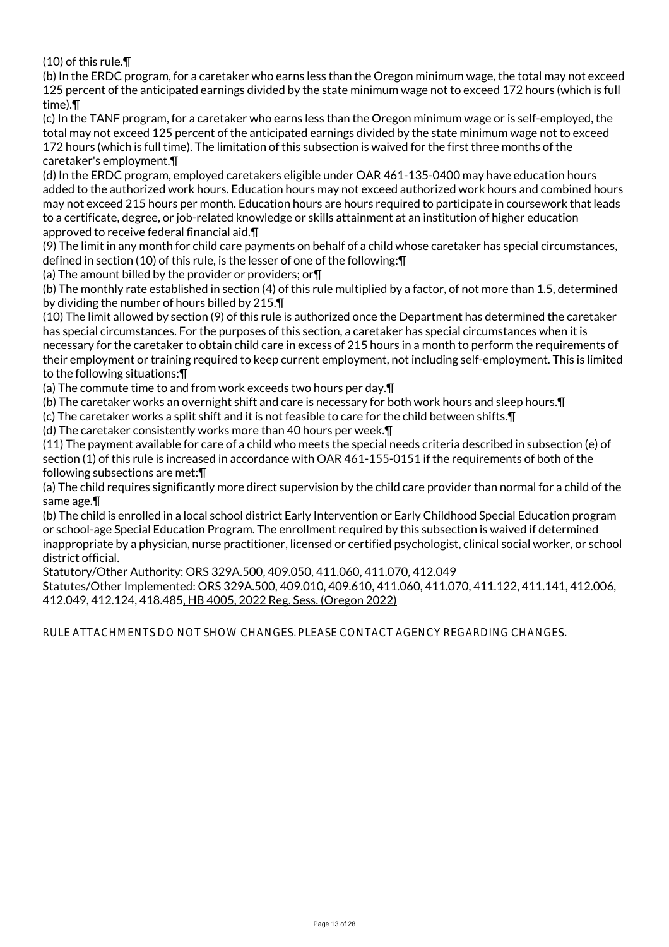(10) of this rule.¶

(b) In the ERDC program, for a caretaker who earns less than the Oregon minimum wage, the total may not exceed 125 percent of the anticipated earnings divided by the state minimum wage not to exceed 172 hours (which is full time).¶

(c) In the TANF program, for a caretaker who earns less than the Oregon minimum wage or is self-employed, the total may not exceed 125 percent of the anticipated earnings divided by the state minimum wage not to exceed 172 hours (which is full time). The limitation of this subsection is waived for the first three months of the caretaker's employment.¶

(d) In the ERDC program, employed caretakers eligible under OAR 461-135-0400 may have education hours added to the authorized work hours. Education hours may not exceed authorized work hours and combined hours may not exceed 215 hours per month. Education hours are hours required to participate in coursework that leads to a certificate, degree, or job-related knowledge or skills attainment at an institution of higher education approved to receive federal financial aid.¶

(9) The limit in any month for child care payments on behalf of a child whose caretaker has special circumstances, defined in section (10) of this rule, is the lesser of one of the following:¶

(a) The amount billed by the provider or providers; or¶

(b) The monthly rate established in section (4) of this rule multiplied by a factor, of not more than 1.5, determined by dividing the number of hours billed by 215.¶

(10) The limit allowed by section (9) of this rule is authorized once the Department has determined the caretaker has special circumstances. For the purposes of this section, a caretaker has special circumstances when it is necessary for the caretaker to obtain child care in excess of 215 hours in a month to perform the requirements of their employment or training required to keep current employment, not including self-employment. This is limited to the following situations:¶

(a) The commute time to and from work exceeds two hours per day.¶

(b) The caretaker works an overnight shift and care is necessary for both work hours and sleep hours.¶

(c) The caretaker works a split shift and it is not feasible to care for the child between shifts.¶

(d) The caretaker consistently works more than 40 hours per week.¶

(11) The payment available for care of a child who meets the special needs criteria described in subsection (e) of section (1) of this rule is increased in accordance with OAR 461-155-0151 if the requirements of both of the following subsections are met:¶

(a) The child requires significantly more direct supervision by the child care provider than normal for a child of the same age.¶

(b) The child is enrolled in a local school district Early Intervention or Early Childhood Special Education program or school-age Special Education Program. The enrollment required by this subsection is waived if determined inappropriate by a physician, nurse practitioner, licensed or certified psychologist, clinical social worker, or school district official.

Statutory/Other Authority: ORS 329A.500, 409.050, 411.060, 411.070, 412.049

Statutes/Other Implemented: ORS 329A.500, 409.010, 409.610, 411.060, 411.070, 411.122, 411.141, 412.006, 412.049, 412.124, 418.485, HB 4005, 2022 Reg. Sess. (Oregon 2022)

RULE ATTACHMENTS DO NOT SHOW CHANGES. PLEASE CONTACT AGENCY REGARDING CHANGES.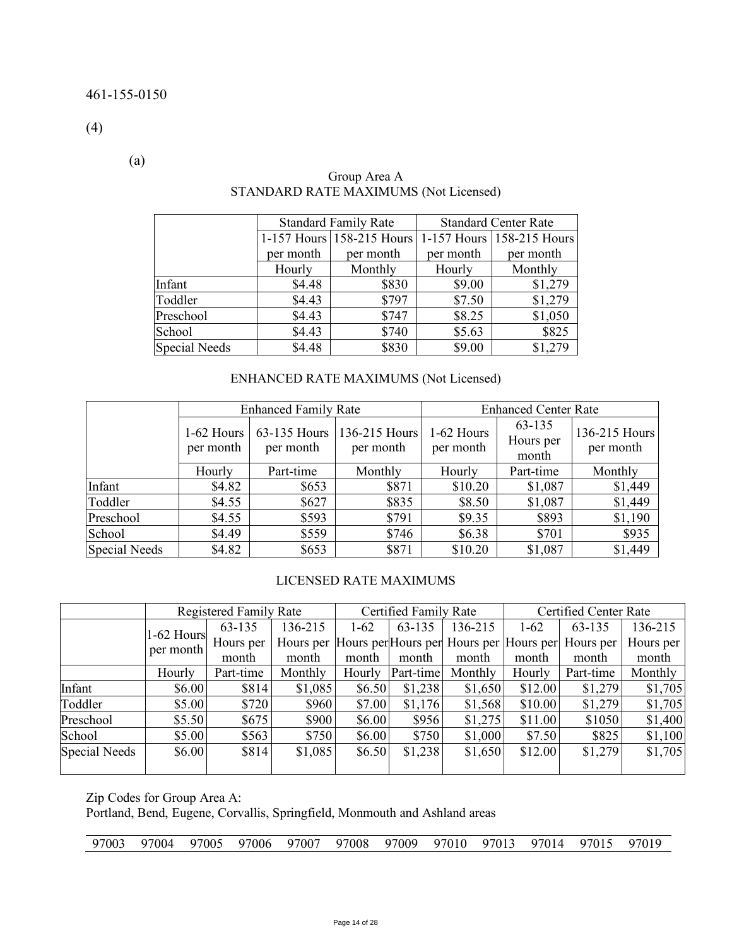(4)

(a)

|                      |           | <b>Standard Family Rate</b>                         | <b>Standard Center Rate</b> |           |  |
|----------------------|-----------|-----------------------------------------------------|-----------------------------|-----------|--|
|                      |           | 1-157 Hours 158-215 Hours 1-157 Hours 158-215 Hours |                             |           |  |
|                      | per month | per month                                           | per month                   | per month |  |
|                      | Hourly    | Monthly                                             | Hourly                      | Monthly   |  |
| Infant               | \$4.48    | \$830                                               | \$9.00                      | \$1,279   |  |
| Toddler              | \$4.43    | \$797                                               | \$7.50                      | \$1,279   |  |
| Preschool            | \$4.43    | \$747                                               | \$8.25                      | \$1,050   |  |
| School               | \$4.43    | \$740                                               | \$5.63                      | \$825     |  |
| <b>Special Needs</b> | \$4.48    | \$830                                               | \$9.00                      | \$1,279   |  |

# Group Area A STANDARD RATE MAXIMUMS (Not Licensed)

# ENHANCED RATE MAXIMUMS (Not Licensed)

|                      |                           | <b>Enhanced Family Rate</b> |                            | <b>Enhanced Center Rate</b> |                              |                            |  |
|----------------------|---------------------------|-----------------------------|----------------------------|-----------------------------|------------------------------|----------------------------|--|
|                      | $1-62$ Hours<br>per month | 63-135 Hours<br>per month   | 136-215 Hours<br>per month | 1-62 Hours<br>per month     | 63-135<br>Hours per<br>month | 136-215 Hours<br>per month |  |
|                      | Hourly                    | Part-time                   | Monthly                    | Hourly                      | Part-time                    | Monthly                    |  |
| Infant               | \$4.82                    | \$653                       | \$871                      | \$10.20                     | \$1,087                      | \$1,449                    |  |
| Toddler              | \$4.55                    | \$627                       | \$835                      | \$8.50                      | \$1,087                      | \$1,449                    |  |
| Preschool            | \$4.55                    | \$593                       | \$791                      | \$9.35                      | \$893                        | \$1,190                    |  |
| School               | \$4.49                    | \$559                       | \$746                      | \$6.38                      | \$701                        | \$935                      |  |
| <b>Special Needs</b> | \$4.82                    | \$653                       | \$871                      | \$10.20                     | \$1,087                      | \$1,449                    |  |

#### LICENSED RATE MAXIMUMS

|                      |            | <b>Registered Family Rate</b> |         |          | Certified Family Rate |                                                   | Certified Center Rate |           |           |
|----------------------|------------|-------------------------------|---------|----------|-----------------------|---------------------------------------------------|-----------------------|-----------|-----------|
|                      | 1-62 Hours | 63-135                        | 136-215 | $1 - 62$ | 63-135                | 136-215                                           | $1 - 62$              | 63-135    | 136-215   |
|                      | per month  | Hours per                     |         |          |                       | Hours per Hours per Hours per Hours per Hours per |                       | Hours per | Hours per |
|                      |            | month                         | month   | month    | month                 | month                                             | month                 | month     | month     |
|                      | Hourly     | Part-time                     | Monthly | Hourly   | Part-time             | Monthly                                           | Hourly                | Part-time | Monthly   |
| Infant               | \$6.00     | \$814                         | \$1,085 | \$6.50   | \$1,238               | \$1,650                                           | \$12.00               | \$1,279   | \$1,705   |
| Toddler              | \$5.00     | \$720                         | \$960   | \$7.00   | \$1,176               | \$1,568                                           | \$10.00               | \$1,279   | \$1,705   |
| Preschool            | \$5.50     | \$675                         | \$900   | \$6.00   | \$956                 | \$1,275                                           | \$11.00               | \$1050    | \$1,400   |
| School               | \$5.00     | \$563                         | \$750   | \$6.00   | \$750                 | \$1,000                                           | \$7.50                | \$825     | \$1,100   |
| <b>Special Needs</b> | \$6.00     | \$814                         | \$1,085 | \$6.50   | \$1,238               | \$1,650                                           | \$12.00               | \$1,279   | \$1,705   |

Zip Codes for Group Area A:

Portland, Bend, Eugene, Corvallis, Springfield, Monmouth and Ashland areas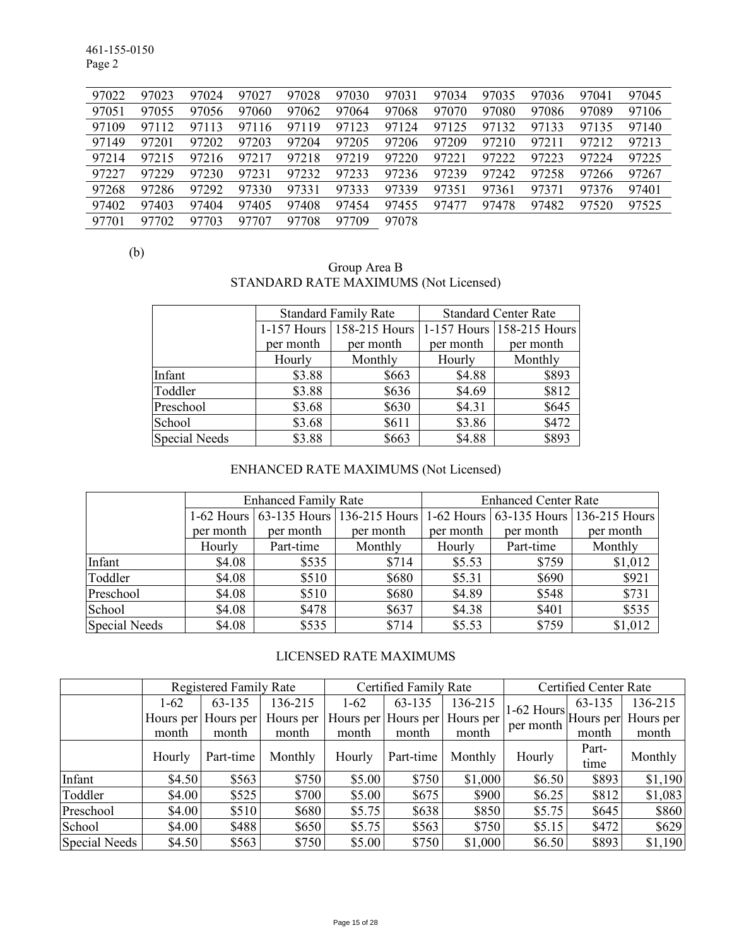461-155-0150 Page 2

| 97022 | 97023 | 97024 | 97027 | 97028 | 97030 | 97031 | 97034 | 97035 | 97036 | 97041 | 97045 |
|-------|-------|-------|-------|-------|-------|-------|-------|-------|-------|-------|-------|
| 97051 | 97055 | 97056 | 97060 | 97062 | 97064 | 97068 | 97070 | 97080 | 97086 | 97089 | 97106 |
| 97109 | 97112 | 97113 | 97116 | 97119 | 97123 | 97124 | 97125 | 97132 | 97133 | 97135 | 97140 |
| 97149 | 97201 | 97202 | 97203 | 97204 | 97205 | 97206 | 97209 | 97210 | 97211 | 97212 | 97213 |
| 97214 | 97215 | 97216 | 97217 | 97218 | 97219 | 97220 | 97221 | 97222 | 97223 | 97224 | 97225 |
| 97227 | 97229 | 97230 | 97231 | 97232 | 97233 | 97236 | 97239 | 97242 | 97258 | 97266 | 97267 |
| 97268 | 97286 | 97292 | 97330 | 97331 | 97333 | 97339 | 97351 | 97361 | 97371 | 97376 | 97401 |
| 97402 | 97403 | 97404 | 97405 | 97408 | 97454 | 97455 | 97477 | 97478 | 97482 | 97520 | 97525 |
| 97701 | 97702 | 97703 | 97707 | 97708 | 97709 | 97078 |       |       |       |       |       |

(b)

| Group Area B                          |  |
|---------------------------------------|--|
| STANDARD RATE MAXIMUMS (Not Licensed) |  |

|                      |           | <b>Standard Family Rate</b> | <b>Standard Center Rate</b> |                           |  |
|----------------------|-----------|-----------------------------|-----------------------------|---------------------------|--|
|                      |           | 1-157 Hours 158-215 Hours   |                             | 1-157 Hours 158-215 Hours |  |
|                      | per month | per month                   | per month                   | per month                 |  |
|                      | Hourly    | Monthly                     | Hourly                      | Monthly                   |  |
| Infant               | \$3.88    | \$663                       | \$4.88                      | \$893                     |  |
| Toddler              | \$3.88    | \$636                       | \$4.69                      | \$812                     |  |
| Preschool            | \$3.68    | \$630                       | \$4.31                      | \$645                     |  |
| School               | \$3.68    | \$611                       | \$3.86                      | \$472                     |  |
| <b>Special Needs</b> | \$3.88    | \$663                       | \$4.88                      | \$893                     |  |

# ENHANCED RATE MAXIMUMS (Not Licensed)

|                      |           | <b>Enhanced Family Rate</b> |                                                                             | <b>Enhanced Center Rate</b> |           |           |  |  |
|----------------------|-----------|-----------------------------|-----------------------------------------------------------------------------|-----------------------------|-----------|-----------|--|--|
|                      |           |                             | 1-62 Hours 63-135 Hours 136-215 Hours 1-62 Hours 63-135 Hours 136-215 Hours |                             |           |           |  |  |
|                      | per month | per month                   | per month                                                                   | per month                   | per month | per month |  |  |
|                      | Hourly    | Part-time                   | Monthly                                                                     | Hourly                      | Part-time | Monthly   |  |  |
| Infant               | \$4.08    | \$535                       | \$714                                                                       | \$5.53                      | \$759     | \$1,012   |  |  |
| Toddler              | \$4.08    | \$510                       | \$680                                                                       | \$5.31                      | \$690     | \$921     |  |  |
| Preschool            | \$4.08    | \$510                       | \$680                                                                       | \$4.89                      | \$548     | \$731     |  |  |
| School               | \$4.08    | \$478                       | \$637                                                                       | \$4.38                      | \$401     | \$535     |  |  |
| <b>Special Needs</b> | \$4.08    | \$535                       | \$714                                                                       | \$5.53                      | \$759     | \$1,012   |  |  |

# LICENSED RATE MAXIMUMS

|               |        | <b>Registered Family Rate</b> |           |        | Certified Family Rate |                               | Certified Center Rate                                 |               |           |
|---------------|--------|-------------------------------|-----------|--------|-----------------------|-------------------------------|-------------------------------------------------------|---------------|-----------|
|               | $1-62$ | 63-135                        | 136-215   | $1-62$ | 63-135                | 136-215                       |                                                       | 63-135        | 136-215   |
|               |        | Hours per Hours per           | Hours per |        |                       | Hours per Hours per Hours per | $1-62$ Hours $\vert$ Hours per $\vert$ '<br>per month |               | Hours per |
|               | month  | month                         | month     | month  | month                 | month                         |                                                       | month         | month     |
|               | Hourly | Part-time                     | Monthly   | Hourly | Part-time             | Monthly                       | Hourly                                                | Part-<br>time | Monthly   |
| Infant        | \$4.50 | \$563                         | \$750     | \$5.00 | \$750                 | \$1,000                       | \$6.50                                                | \$893         | \$1,190   |
| Toddler       | \$4.00 | \$525                         | \$700     | \$5.00 | \$675                 | \$900                         | \$6.25                                                | \$812         | \$1,083   |
| Preschool     | \$4.00 | \$510                         | \$680     | \$5.75 | \$638                 | \$850                         | \$5.75                                                | \$645         | \$860     |
| School        | \$4.00 | \$488                         | \$650     | \$5.75 | \$563                 | \$750                         | \$5.15                                                | \$472         | \$629     |
| Special Needs | \$4.50 | \$563                         | \$750     | \$5.00 | \$750                 | \$1,000                       | \$6.50                                                | \$893         | \$1,190   |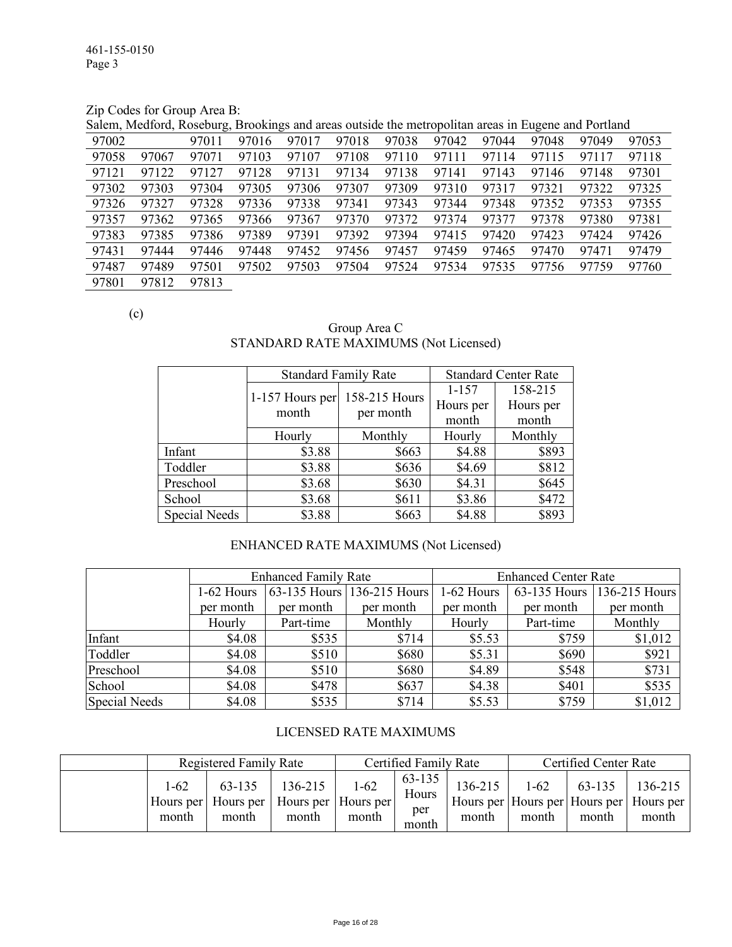Zip Codes for Group Area B:

Salem, Medford, Roseburg, Brookings and areas outside the metropolitan areas in Eugene and Portland

| 97002 |       | 97011 | 97016 | 97017 | 97018 | 97038 | 97042 | 97044 | 97048 | 97049 | 97053 |
|-------|-------|-------|-------|-------|-------|-------|-------|-------|-------|-------|-------|
| 97058 | 97067 | 97071 | 97103 | 97107 | 97108 | 97110 | 97111 | 97114 | 97115 | 97117 | 97118 |
| 97121 | 97122 | 97127 | 97128 | 97131 | 97134 | 97138 | 97141 | 97143 | 97146 | 97148 | 97301 |
| 97302 | 97303 | 97304 | 97305 | 97306 | 97307 | 97309 | 97310 | 97317 | 97321 | 97322 | 97325 |
| 97326 | 97327 | 97328 | 97336 | 97338 | 97341 | 97343 | 97344 | 97348 | 97352 | 97353 | 97355 |
| 97357 | 97362 | 97365 | 97366 | 97367 | 97370 | 97372 | 97374 | 97377 | 97378 | 97380 | 97381 |
| 97383 | 97385 | 97386 | 97389 | 97391 | 97392 | 97394 | 97415 | 97420 | 97423 | 97424 | 97426 |
| 97431 | 97444 | 97446 | 97448 | 97452 | 97456 | 97457 | 97459 | 97465 | 97470 | 97471 | 97479 |
| 97487 | 97489 | 97501 | 97502 | 97503 | 97504 | 97524 | 97534 | 97535 | 97756 | 97759 | 97760 |
| 97801 | 97812 | 97813 |       |       |       |       |       |       |       |       |       |

(c)

Group Area C STANDARD RATE MAXIMUMS (Not Licensed)

|               | <b>Standard Family Rate</b> |               | <b>Standard Center Rate</b> |           |  |
|---------------|-----------------------------|---------------|-----------------------------|-----------|--|
|               |                             | 158-215 Hours | $1 - 157$                   | 158-215   |  |
|               | 1-157 Hours per<br>month    |               | Hours per                   | Hours per |  |
|               |                             | per month     | month                       | month     |  |
|               | Hourly                      | Monthly       | Hourly                      | Monthly   |  |
| Infant        | \$3.88                      | \$663         | \$4.88                      | \$893     |  |
| Toddler       | \$3.88                      | \$636         | \$4.69                      | \$812     |  |
| Preschool     | \$3.68                      | \$630         | \$4.31                      | \$645     |  |
| School        | \$3.68                      | \$611         | \$3.86                      | \$472     |  |
| Special Needs | \$3.88                      | \$663         | \$4.88                      | \$893     |  |

# ENHANCED RATE MAXIMUMS (Not Licensed)

|                      |            | <b>Enhanced Family Rate</b> |                            | <b>Enhanced Center Rate</b> |              |               |  |  |
|----------------------|------------|-----------------------------|----------------------------|-----------------------------|--------------|---------------|--|--|
|                      | 1-62 Hours |                             | 63-135 Hours 136-215 Hours | 1-62 Hours                  | 63-135 Hours | 136-215 Hours |  |  |
|                      | per month  | per month                   | per month                  | per month                   | per month    | per month     |  |  |
|                      | Hourly     | Part-time                   | Monthly                    | Hourly                      | Part-time    | Monthly       |  |  |
| Infant               | \$4.08     | \$535                       | \$714                      | \$5.53                      | \$759        | \$1,012       |  |  |
| Toddler              | \$4.08     | \$510                       | \$680                      | \$5.31                      | \$690        | \$921         |  |  |
| Preschool            | \$4.08     | \$510                       | \$680                      | \$4.89                      | \$548        | \$731         |  |  |
| School               | \$4.08     | \$478                       | \$637                      | \$4.38                      | \$401        | \$535         |  |  |
| <b>Special Needs</b> | \$4.08     | \$535                       | \$714                      | \$5.53                      | \$759        | \$1,012       |  |  |

#### LICENSED RATE MAXIMUMS

|                   | Registered Family Rate                                             |                  | Certified Family Rate |                                 |                  | <b>Certified Center Rate</b> |                 |                                                               |  |
|-------------------|--------------------------------------------------------------------|------------------|-----------------------|---------------------------------|------------------|------------------------------|-----------------|---------------------------------------------------------------|--|
| $1 - 62$<br>month | 63-135<br>Hours per   Hours per   Hours per   Hours per  <br>month | 136-215<br>month | $1 - 62$<br>month     | 63-135<br>Hours<br>per<br>month | 136-215<br>month | $1-62$<br>month              | 63-135<br>month | 136-215<br>Hours per Hours per Hours per Hours per  <br>month |  |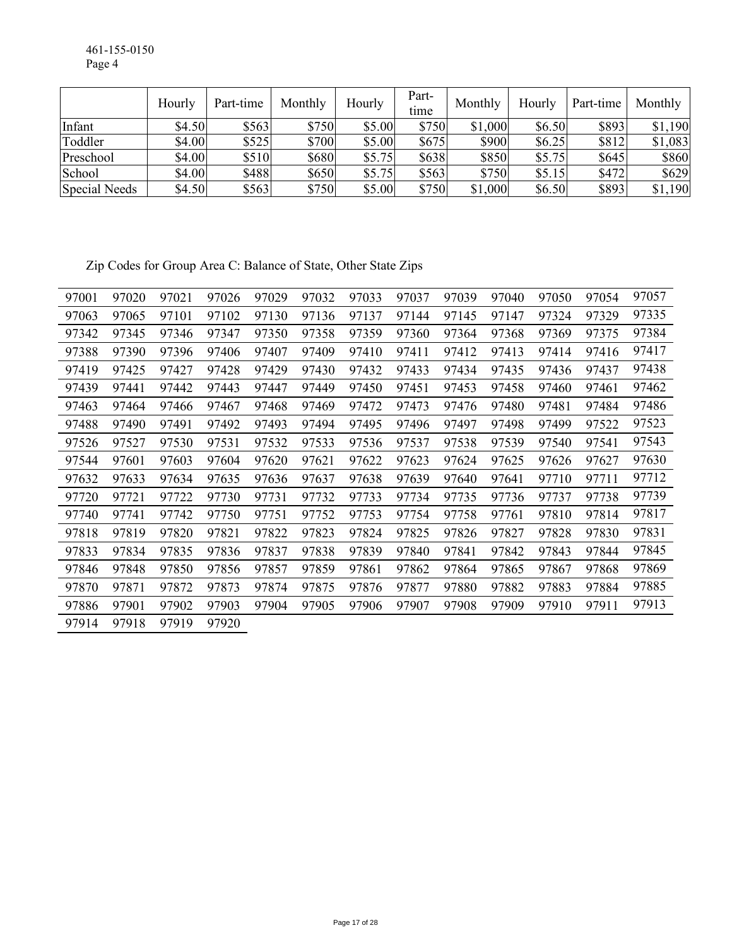461-155-0150 Page 4

|               | Hourly | Part-time | Monthly | Hourly | Part-<br>time | Monthly | Hourly | Part-time | Monthly |
|---------------|--------|-----------|---------|--------|---------------|---------|--------|-----------|---------|
| Infant        | \$4.50 | \$563     | \$750   | \$5.00 | \$750         | \$1,000 | \$6.50 | \$893     | \$1,190 |
| Toddler       | \$4.00 | \$525     | \$700   | \$5.00 | \$675         | \$900   | \$6.25 | \$812     | \$1,083 |
| Preschool     | \$4.00 | \$510     | \$680   | \$5.75 | \$638         | \$850   | \$5.75 | \$645     | \$860   |
| School        | \$4.00 | \$488     | \$650   | \$5.75 | \$563         | \$750   | \$5.15 | \$472     | \$629   |
| Special Needs | \$4.50 | \$563     | \$750   | \$5.00 | \$750         | \$1,000 | \$6.50 | \$893     | \$1,190 |

Zip Codes for Group Area C: Balance of State, Other State Zips

| 97001 | 97020 | 97021 | 97026 | 97029 | 97032 | 97033 | 97037 | 97039 | 97040 | 97050 | 97054 | 97057 |
|-------|-------|-------|-------|-------|-------|-------|-------|-------|-------|-------|-------|-------|
| 97063 | 97065 | 97101 | 97102 | 97130 | 97136 | 97137 | 97144 | 97145 | 97147 | 97324 | 97329 | 97335 |
| 97342 | 97345 | 97346 | 97347 | 97350 | 97358 | 97359 | 97360 | 97364 | 97368 | 97369 | 97375 | 97384 |
| 97388 | 97390 | 97396 | 97406 | 97407 | 97409 | 97410 | 97411 | 97412 | 97413 | 97414 | 97416 | 97417 |
| 97419 | 97425 | 97427 | 97428 | 97429 | 97430 | 97432 | 97433 | 97434 | 97435 | 97436 | 97437 | 97438 |
| 97439 | 97441 | 97442 | 97443 | 97447 | 97449 | 97450 | 97451 | 97453 | 97458 | 97460 | 97461 | 97462 |
| 97463 | 97464 | 97466 | 97467 | 97468 | 97469 | 97472 | 97473 | 97476 | 97480 | 97481 | 97484 | 97486 |
| 97488 | 97490 | 97491 | 97492 | 97493 | 97494 | 97495 | 97496 | 97497 | 97498 | 97499 | 97522 | 97523 |
| 97526 | 97527 | 97530 | 97531 | 97532 | 97533 | 97536 | 97537 | 97538 | 97539 | 97540 | 97541 | 97543 |
| 97544 | 97601 | 97603 | 97604 | 97620 | 97621 | 97622 | 97623 | 97624 | 97625 | 97626 | 97627 | 97630 |
| 97632 | 97633 | 97634 | 97635 | 97636 | 97637 | 97638 | 97639 | 97640 | 97641 | 97710 | 97711 | 97712 |
| 97720 | 97721 | 97722 | 97730 | 97731 | 97732 | 97733 | 97734 | 97735 | 97736 | 97737 | 97738 | 97739 |
| 97740 | 97741 | 97742 | 97750 | 97751 | 97752 | 97753 | 97754 | 97758 | 97761 | 97810 | 97814 | 97817 |
| 97818 | 97819 | 97820 | 97821 | 97822 | 97823 | 97824 | 97825 | 97826 | 97827 | 97828 | 97830 | 97831 |
| 97833 | 97834 | 97835 | 97836 | 97837 | 97838 | 97839 | 97840 | 97841 | 97842 | 97843 | 97844 | 97845 |
| 97846 | 97848 | 97850 | 97856 | 97857 | 97859 | 97861 | 97862 | 97864 | 97865 | 97867 | 97868 | 97869 |
| 97870 | 97871 | 97872 | 97873 | 97874 | 97875 | 97876 | 97877 | 97880 | 97882 | 97883 | 97884 | 97885 |
| 97886 | 97901 | 97902 | 97903 | 97904 | 97905 | 97906 | 97907 | 97908 | 97909 | 97910 | 97911 | 97913 |
| 97914 | 97918 | 97919 | 97920 |       |       |       |       |       |       |       |       |       |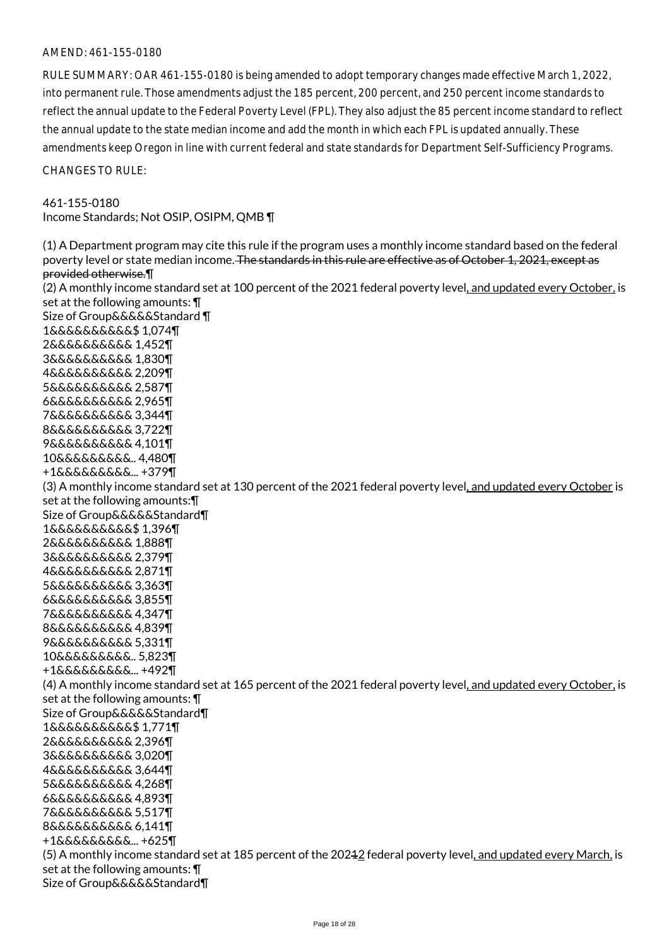#### AMEND: 461-155-0180

RULE SUMMARY: OAR 461-155-0180 is being amended to adopt temporary changes made effective March 1, 2022, into permanent rule. Those amendments adjust the 185 percent, 200 percent, and 250 percent income standards to reflect the annual update to the Federal Poverty Level (FPL). They also adjust the 85 percent income standard to reflect the annual update to the state median income and add the month in which each FPL is updated annually. These amendments keep Oregon in line with current federal and state standards for Department Self-Sufficiency Programs.

CHANGES TO RULE:

#### 461-155-0180

Income Standards; Not OSIP, OSIPM, QMB ¶

(1) A Department program may cite this rule if the program uses a monthly income standard based on the federal poverty level or state median income. The standards in this rule are effective as of October 1, 2021, except as provided otherwise.¶ (2) A monthly income standard set at 100 percent of the 2021 federal poverty level, and updated every October, is set at the following amounts: ¶ Size of Group&&&&&Standard ¶ 1&&&&&&&&&&\$ 1,074¶ 2&&&&&&&&&& 1,452¶ 3&&&&&&&&&& 1,830¶ 4&&&&&&&&&& 2,209¶ 5&&&&&&&&&& 2,587¶ 6&&&&&&&&&& 2,965¶ 7&&&&&&&&&& 3,344¶ 8&&&&&&&&&& 3,722¶ 9&&&&&&&&&& 4,101¶ 10&&&&&&&&&.. 4,480¶ +1&&&&&&&&&... +379¶ (3) A monthly income standard set at 130 percent of the 2021 federal poverty level, and updated every October is set at the following amounts:¶ Size of Group&&&&&Standard¶ 1&&&&&&&&&&\$ 1,396¶ 2&&&&&&&&&& 1,888¶ 3&&&&&&&&&& 2,379¶ 4&&&&&&&&&& 2,871¶ 5&&&&&&&&&& 3,363¶ 6&&&&&&&&&& 3,855¶ 7&&&&&&&&&& 4,347¶ 8&&&&&&&&&& 4,839¶ 9&&&&&&&&&& 5,331¶ 10&&&&&&&&&.. 5,823¶ +1&&&&&&&&&... +492¶ (4) A monthly income standard set at 165 percent of the 2021 federal poverty level, and updated every October, is set at the following amounts: ¶ Size of Group&&&&&Standard¶ 1&&&&&&&&&&\$ 1,771¶ 2&&&&&&&&&& 2,396¶ 3&&&&&&&&&& 3,020¶ 4&&&&&&&&&& 3,644¶ 5&&&&&&&&&& 4,268¶ 6&&&&&&&&&& 4,893¶ 7&&&&&&&&&& 5,517¶ 8&&&&&&&&&& 6,141¶ +1&&&&&&&&&... +625¶ (5) A monthly income standard set at 185 percent of the 20212 federal poverty level, and updated every March, is set at the following amounts: ¶ Size of Group&&&&&Standard¶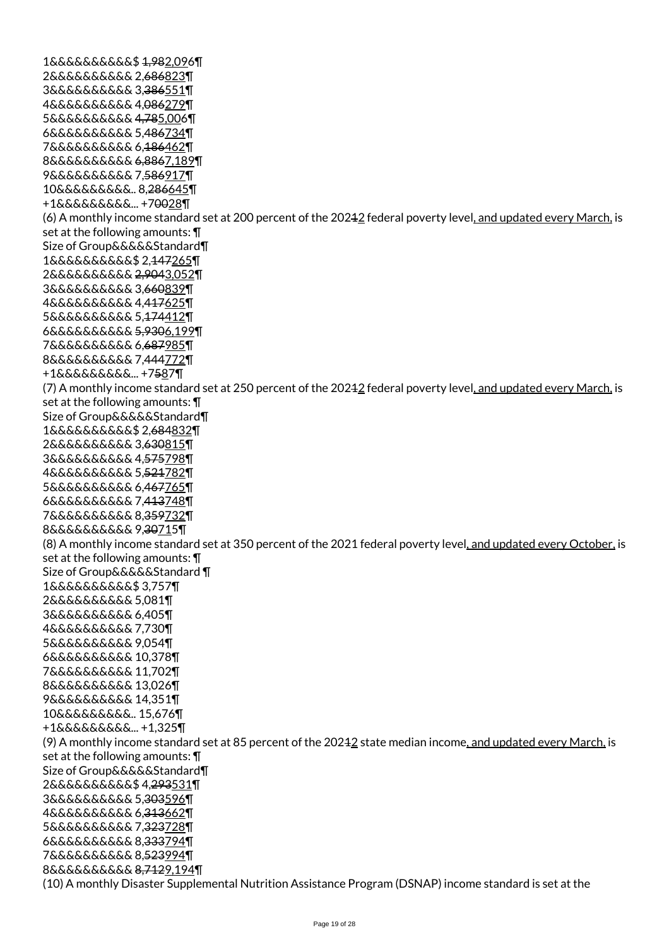1&&&&&&&&&&\$ 1,982,096¶ 2&&&&&&&&&& 2,686823¶ 3&&&&&&&&&& 3,386551¶ 4&&&&&&&&&& 4,086279¶ 5&&&&&&&&&& 4,785,006¶ 6&&&&&&&&&& 5,486734¶ 7&&&&&&&&&& 6,186462¶ 8&&&&&&&&&& 6,8867,189¶ 9&&&&&&&&&& 7,586917¶ 10&&&&&&&&&.. 8,286645¶ +1&&&&&&&&&... +70028¶ (6) A monthly income standard set at 200 percent of the 20212 federal poverty level, and updated every March, is set at the following amounts: ¶ Size of Group&&&&&Standard¶ 1&&&&&&&&&&\$ 2,147265¶ 2&&&&&&&&&& 2,9043,052¶ 3&&&&&&&&&& 3,660839¶ 4&&&&&&&&&& 4,417625¶ 5&&&&&&&&&& 5,174412¶ 6&&&&&&&&&& 5,9306,199¶ 7&&&&&&&&&& 6,687985¶ 8&&&&&&&&&& 7,444772¶ +1&&&&&&&&&... +7587¶ (7) A monthly income standard set at 250 percent of the 20212 federal poverty level, and updated every March, is set at the following amounts: ¶ Size of Group&&&&&Standard¶ 1&&&&&&&&&&\$ 2,684832¶ 2&&&&&&&&&& 3,630815¶ 3&&&&&&&&&& 4,575798¶ 4&&&&&&&&&& 5,521782¶ 5&&&&&&&&&& 6,467765¶ 6&&&&&&&&&& 7,413748¶ 7&&&&&&&&&& 8,359732¶ 8&&&&&&&&&& 9,30715¶ (8) A monthly income standard set at 350 percent of the 2021 federal poverty level, and updated every October, is set at the following amounts: ¶ Size of Group&&&&&Standard ¶ 1&&&&&&&&&&\$ 3,757¶ 2&&&&&&&&&& 5,081¶ 3&&&&&&&&&& 6,405¶ 4&&&&&&&&&& 7,730¶ 5&&&&&&&&&& 9,054¶ 6&&&&&&&&&& 10,378¶ 7&&&&&&&&&& 11,702¶ 8&&&&&&&&&& 13,026¶ 9&&&&&&&&&& 14,351¶ 10&&&&&&&&&.. 15,676¶ +1&&&&&&&&&... +1,325¶ (9) A monthly income standard set at 85 percent of the 20242 state median income, and updated every March, is set at the following amounts: ¶ Size of Group&&&&&Standard¶ 2&&&&&&&&&&\$ 4,293531¶ 3&&&&&&&&&& 5,303596¶ 4&&&&&&&&&& 6,313662¶ 5&&&&&&&&&& 7,323728¶ 6&&&&&&&&&& 8,333794¶ 7&&&&&&&&&& 8,523994¶ 8&&&&&&&&&& 8,7129,194¶ (10) A monthly Disaster Supplemental Nutrition Assistance Program (DSNAP) income standard is set at the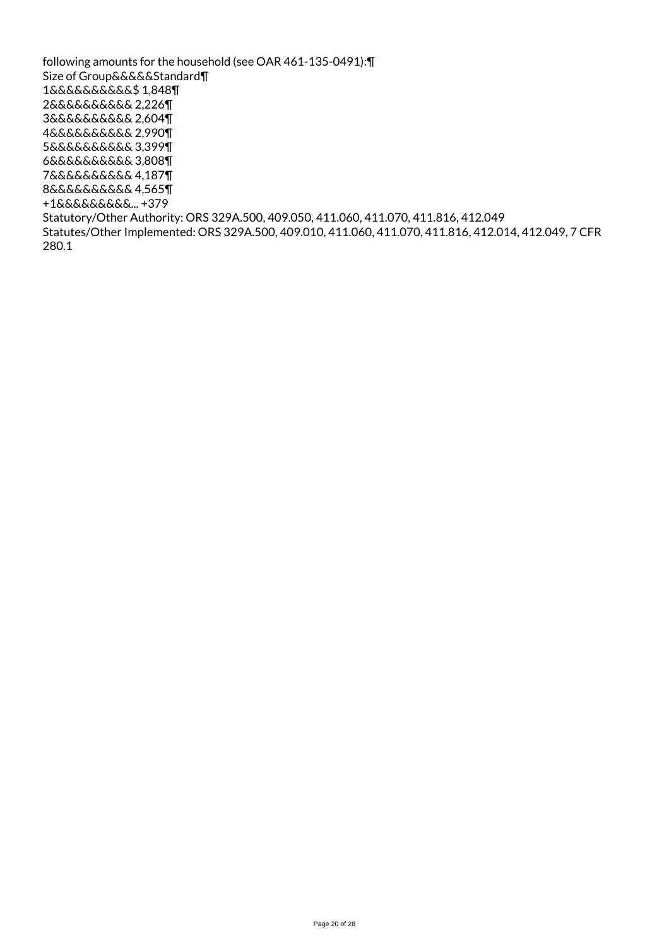following amounts for the household (see OAR 461-135-0491):¶ Size of Group&&&&&Standard¶ 1&&&&&&&&&&\$ 1,848¶ 2&&&&&&&&&& 2,226¶ 3&&&&&&&&&& 2,604¶ 4&&&&&&&&&& 2,990¶ 5&&&&&&&&&& 3,399¶ 6&&&&&&&&&& 3,808¶ 7&&&&&&&&&& 4,187¶ 8&&&&&&&&&& 4,565¶ +1&&&&&&&&&... +379 Statutory/Other Authority: ORS 329A.500, 409.050, 411.060, 411.070, 411.816, 412.049 Statutes/Other Implemented: ORS 329A.500, 409.010, 411.060, 411.070, 411.816, 412.014, 412.049, 7 CFR 280.1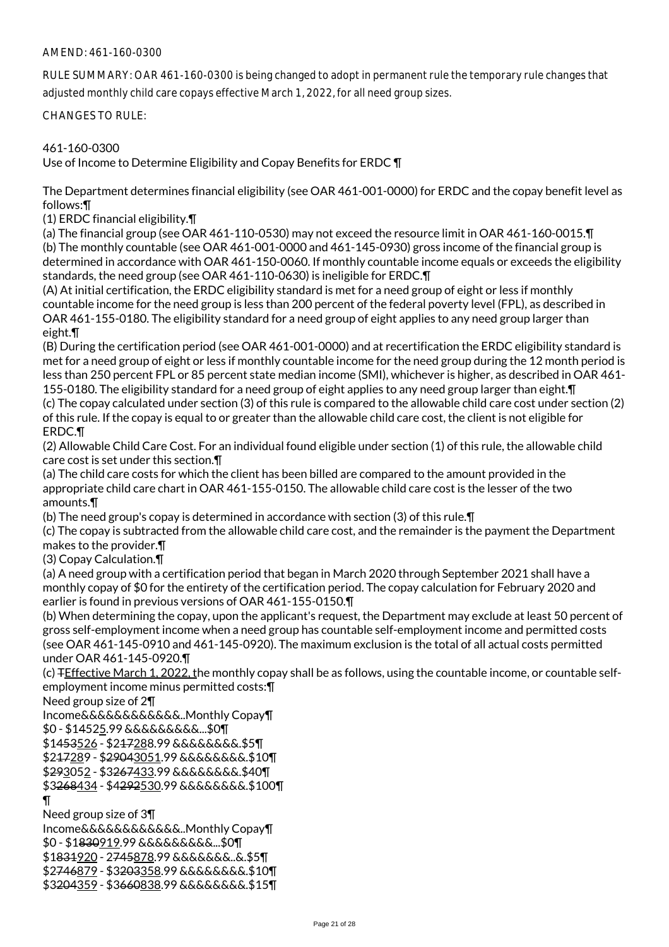### AMEND: 461-160-0300

RULE SUMMARY: OAR 461-160-0300 is being changed to adopt in permanent rule the temporary rule changes that adjusted monthly child care copays effective March 1, 2022, for all need group sizes.

CHANGES TO RULE:

## 461-160-0300

Use of Income to Determine Eligibility and Copay Benefits for ERDC ¶

The Department determines financial eligibility (see OAR 461-001-0000) for ERDC and the copay benefit level as follows:¶

(1) ERDC financial eligibility.¶

(a) The financial group (see OAR 461-110-0530) may not exceed the resource limit in OAR 461-160-0015.¶ (b) The monthly countable (see OAR 461-001-0000 and 461-145-0930) gross income of the financial group is determined in accordance with OAR 461-150-0060. If monthly countable income equals or exceeds the eligibility standards, the need group (see OAR 461-110-0630) is ineligible for ERDC.¶

(A) At initial certification, the ERDC eligibility standard is met for a need group of eight or less if monthly countable income for the need group is less than 200 percent of the federal poverty level (FPL), as described in OAR 461-155-0180. The eligibility standard for a need group of eight applies to any need group larger than eight.¶

(B) During the certification period (see OAR 461-001-0000) and at recertification the ERDC eligibility standard is met for a need group of eight or less if monthly countable income for the need group during the 12 month period is less than 250 percent FPL or 85 percent state median income (SMI), whichever is higher, as described in OAR 461- 155-0180. The eligibility standard for a need group of eight applies to any need group larger than eight.¶ (c) The copay calculated under section (3) of this rule is compared to the allowable child care cost under section (2) of this rule. If the copay is equal to or greater than the allowable child care cost, the client is not eligible for ERDC.¶

(2) Allowable Child Care Cost. For an individual found eligible under section (1) of this rule, the allowable child care cost is set under this section.¶

(a) The child care costs for which the client has been billed are compared to the amount provided in the appropriate child care chart in OAR 461-155-0150. The allowable child care cost is the lesser of the two amounts.¶

(b) The need group's copay is determined in accordance with section (3) of this rule.¶

(c) The copay is subtracted from the allowable child care cost, and the remainder is the payment the Department makes to the provider.¶

(3) Copay Calculation.¶

(a) A need group with a certification period that began in March 2020 through September 2021 shall have a monthly copay of \$0 for the entirety of the certification period. The copay calculation for February 2020 and earlier is found in previous versions of OAR 461-155-0150.¶

(b) When determining the copay, upon the applicant's request, the Department may exclude at least 50 percent of gross self-employment income when a need group has countable self-employment income and permitted costs (see OAR 461-145-0910 and 461-145-0920). The maximum exclusion is the total of all actual costs permitted under OAR 461-145-0920.¶

(c) TEffective March 1, 2022, the monthly copay shall be as follows, using the countable income, or countable selfemployment income minus permitted costs:¶

Need group size of 2¶

Income&&&&&&&&&&&&..Monthly Copay¶

\$0 - \$14525.99 &&&&&&&&&...\$0¶

\$1453526 - \$217288.99 &&&&&&&&.\$5¶

\$217289 - \$29043051.99 &&&&&&&&.\$10¶

\$293052 - \$3267433.99 &&&&&&&&.\$40¶

\$3268434 - \$4292530.99 &&&&&&&&.\$100¶

¶

Need group size of 3¶

Income&&&&&&&&&&&&..Monthly Copay¶ \$0 - \$1830919.99 &&&&&&&&&...\$0¶ \$1831920 - 2745878.99 &&&&&&&..&.\$5¶ \$2746879 - \$3203358.99 &&&&&&&&.\$10¶ \$3204359 - \$3660838.99 &&&&&&&&.\$15¶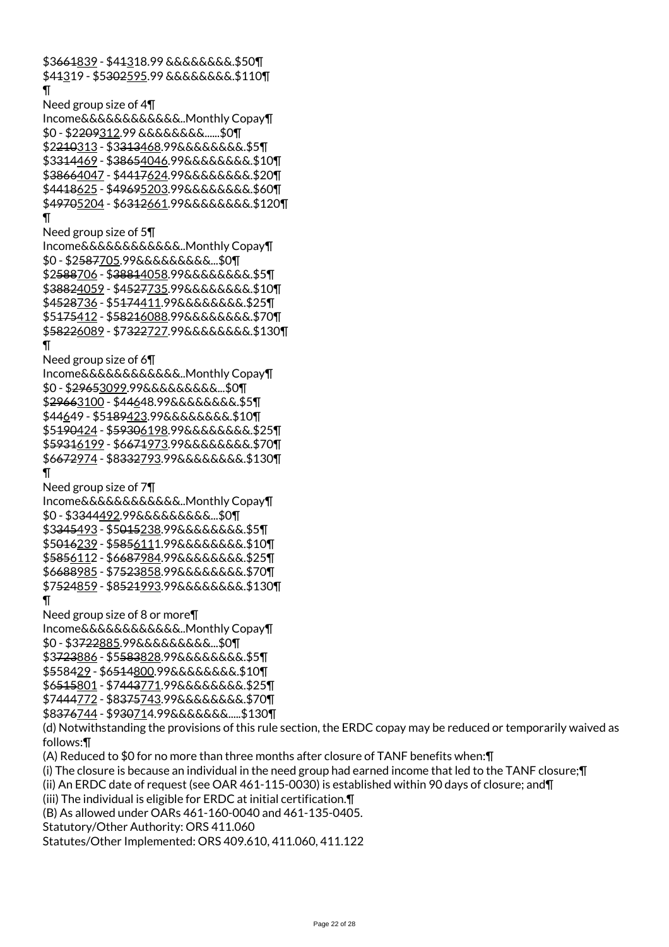\$3661839 - \$41318.99 &&&&&&&&.\$50¶ \$41319 - \$5302595.99 &&&&&&&&.\$110¶  $\P$ Need group size of 4¶ Income&&&&&&&&&&&&..Monthly Copay¶ \$0 - \$2209312.99 &&&&&&&&......\$0¶ \$2210313 - \$3313468.99&&&&&&&&.\$5¶ \$3314469 - \$38654046.99&&&&&&&&.\$10¶ \$38664047 - \$4417624.99&&&&&&&&.\$20¶ \$4418625 - \$49695203.99&&&&&&&&.\$60¶ \$49705204 - \$6312661.99&&&&&&&&.\$120¶ ¶ Need group size of 5¶ Income&&&&&&&&&&&&..Monthly Copay¶ \$0 - \$2587705.99&&&&&&&&&...\$0¶ \$2588706 - \$38814058.99&&&&&&&&.\$5¶ \$38824059 - \$4527735.99&&&&&&&&.\$10¶ \$4528736 - \$5174411.99&&&&&&&&.\$25¶ \$5175412 - \$58216088.99&&&&&&&&.\$70¶ \$58226089 - \$7322727.99&&&&&&&&.\$130¶ ¶ Need group size of 6¶ Income&&&&&&&&&&&&..Monthly Copay¶ \$0 - \$29653099.99&&&&&&&&&...\$0¶ \$29663100 - \$44648.99&&&&&&&&.\$5¶ \$44649 - \$5189423.99&&&&&&&&.\$10¶ \$5190424 - \$59306198.99&&&&&&&&.\$25¶ \$59316199 - \$6671973.99&&&&&&&&.\$70¶ \$6672974 - \$8332793.99&&&&&&&&.\$130¶ ¶ Need group size of 7¶ Income&&&&&&&&&&&&..Monthly Copay¶ \$0 - \$3344492.99&&&&&&&&&...\$0¶ \$3345493 - \$5015238.99&&&&&&&&.\$5¶ \$5016239 - \$5856111.99&&&&&&&&.\$10¶ \$5856112 - \$6687984.99&&&&&&&&.\$25¶ \$6688985 - \$7523858.99&&&&&&&&.\$70¶ \$7524859 - \$8521993.99&&&&&&&&.\$130¶ ¶ Need group size of 8 or more¶ Income&&&&&&&&&&&&..Monthly Copay¶ \$0 - \$3722885.99&&&&&&&&&...\$0¶ \$3723886 - \$5583828.99&&&&&&&&.\$5¶ \$558429 - \$6514800.99&&&&&&&&.\$10¶ \$6515801 - \$7443771.99&&&&&&&&.\$25¶ \$7444772 - \$8375743.99&&&&&&&&.\$70¶ \$8376744 - \$930714.99&&&&&&&.....\$130¶ (d) Notwithstanding the provisions of this rule section, the ERDC copay may be reduced or temporarily waived as follows:¶ (A) Reduced to \$0 for no more than three months after closure of TANF benefits when:¶ (i) The closure is because an individual in the need group had earned income that led to the TANF closure;¶ (ii) An ERDC date of request (see OAR 461-115-0030) is established within 90 days of closure; and¶ (iii) The individual is eligible for ERDC at initial certification.¶ (B) As allowed under OARs 461-160-0040 and 461-135-0405. Statutory/Other Authority: ORS 411.060

Statutes/Other Implemented: ORS 409.610, 411.060, 411.122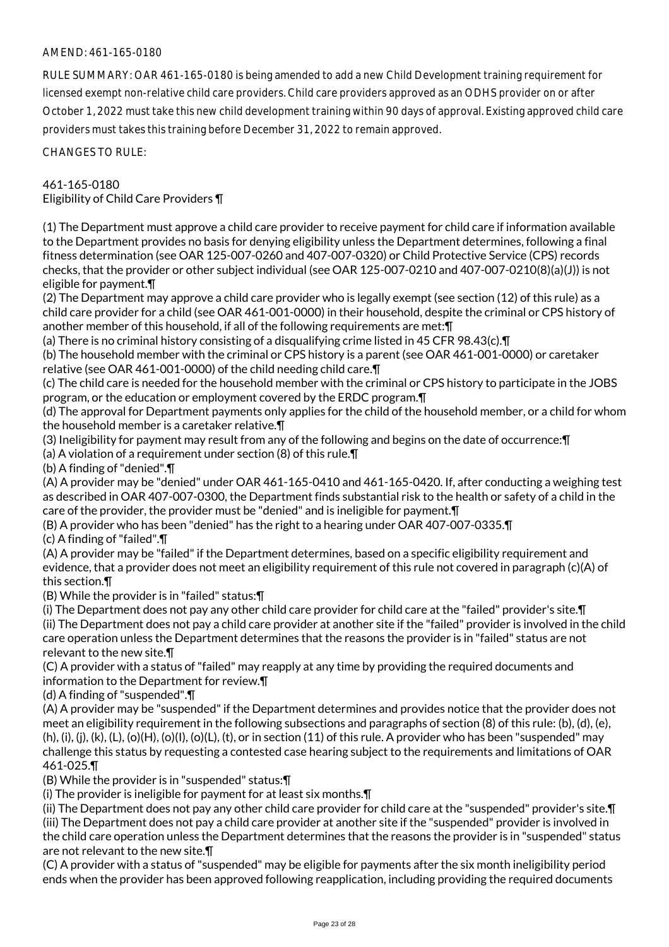## AMEND: 461-165-0180

RULE SUMMARY: OAR 461-165-0180 is being amended to add a new Child Development training requirement for licensed exempt non-relative child care providers. Child care providers approved as an ODHS provider on or after October 1, 2022 must take this new child development training within 90 days of approval. Existing approved child care providers must takes this training before December 31, 2022 to remain approved.

CHANGES TO RULE:

461-165-0180 Eligibility of Child Care Providers ¶

(1) The Department must approve a child care provider to receive payment for child care if information available to the Department provides no basis for denying eligibility unless the Department determines, following a final fitness determination (see OAR 125-007-0260 and 407-007-0320) or Child Protective Service (CPS) records checks, that the provider or other subject individual (see OAR 125-007-0210 and 407-007-0210(8)(a)(J)) is not eligible for payment.¶

(2) The Department may approve a child care provider who is legally exempt (see section (12) of this rule) as a child care provider for a child (see OAR 461-001-0000) in their household, despite the criminal or CPS history of another member of this household, if all of the following requirements are met:¶

(a) There is no criminal history consisting of a disqualifying crime listed in 45 CFR 98.43(c).¶

(b) The household member with the criminal or CPS history is a parent (see OAR 461-001-0000) or caretaker relative (see OAR 461-001-0000) of the child needing child care.¶

(c) The child care is needed for the household member with the criminal or CPS history to participate in the JOBS program, or the education or employment covered by the ERDC program.¶

(d) The approval for Department payments only applies for the child of the household member, or a child for whom the household member is a caretaker relative.¶

(3) Ineligibility for payment may result from any of the following and begins on the date of occurrence:¶

(a) A violation of a requirement under section (8) of this rule.¶

(b) A finding of "denied".¶

(A) A provider may be "denied" under OAR 461-165-0410 and 461-165-0420. If, after conducting a weighing test as described in OAR 407-007-0300, the Department finds substantial risk to the health or safety of a child in the care of the provider, the provider must be "denied" and is ineligible for payment.¶

(B) A provider who has been "denied" has the right to a hearing under OAR 407-007-0335.¶

(c) A finding of "failed".¶

(A) A provider may be "failed" if the Department determines, based on a specific eligibility requirement and evidence, that a provider does not meet an eligibility requirement of this rule not covered in paragraph (c)(A) of this section.¶

(B) While the provider is in "failed" status:¶

(i) The Department does not pay any other child care provider for child care at the "failed" provider's site.¶

(ii) The Department does not pay a child care provider at another site if the "failed" provider is involved in the child care operation unless the Department determines that the reasons the provider is in "failed" status are not relevant to the new site.¶

(C) A provider with a status of "failed" may reapply at any time by providing the required documents and information to the Department for review.¶

(d) A finding of "suspended".¶

(A) A provider may be "suspended" if the Department determines and provides notice that the provider does not meet an eligibility requirement in the following subsections and paragraphs of section (8) of this rule: (b), (d), (e),  $(h), (i), (i), (k), (L), (o)(H), (o)(L), (t), (o)$  (c),  $(t),$  or in section  $(11)$  of this rule. A provider who has been "suspended" may challenge this status by requesting a contested case hearing subject to the requirements and limitations of OAR 461-025.¶

(B) While the provider is in "suspended" status:¶

(i) The provider is ineligible for payment for at least six months.¶

(ii) The Department does not pay any other child care provider for child care at the "suspended" provider's site.¶ (iii) The Department does not pay a child care provider at another site if the "suspended" provider is involved in the child care operation unless the Department determines that the reasons the provider is in "suspended" status are not relevant to the new site.¶

(C) A provider with a status of "suspended" may be eligible for payments after the six month ineligibility period ends when the provider has been approved following reapplication, including providing the required documents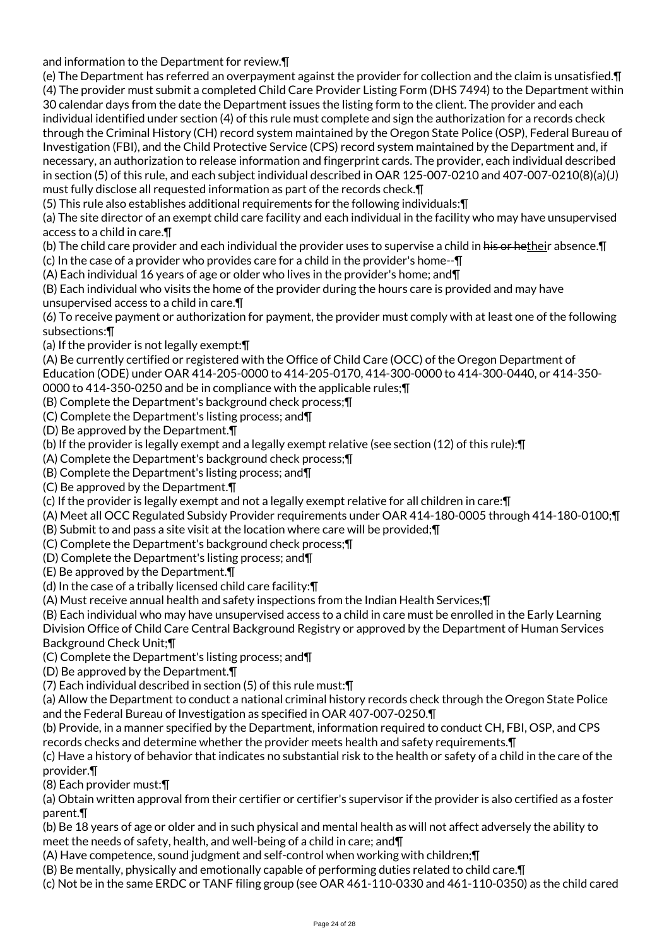and information to the Department for review.¶

(e) The Department has referred an overpayment against the provider for collection and the claim is unsatisfied.¶ (4) The provider must submit a completed Child Care Provider Listing Form (DHS 7494) to the Department within 30 calendar days from the date the Department issues the listing form to the client. The provider and each individual identified under section (4) of this rule must complete and sign the authorization for a records check through the Criminal History (CH) record system maintained by the Oregon State Police (OSP), Federal Bureau of Investigation (FBI), and the Child Protective Service (CPS) record system maintained by the Department and, if necessary, an authorization to release information and fingerprint cards. The provider, each individual described in section (5) of this rule, and each subject individual described in OAR 125-007-0210 and 407-007-0210(8)(a)(J) must fully disclose all requested information as part of the records check.¶

(5) This rule also establishes additional requirements for the following individuals:¶

(a) The site director of an exempt child care facility and each individual in the facility who may have unsupervised access to a child in care.¶

(b) The child care provider and each individual the provider uses to supervise a child in his or hetheir absence. I

(c) In the case of a provider who provides care for a child in the provider's home--¶

(A) Each individual 16 years of age or older who lives in the provider's home; and¶

(B) Each individual who visits the home of the provider during the hours care is provided and may have unsupervised access to a child in care.¶

(6) To receive payment or authorization for payment, the provider must comply with at least one of the following subsections:¶

(a) If the provider is not legally exempt:¶

(A) Be currently certified or registered with the Office of Child Care (OCC) of the Oregon Department of Education (ODE) under OAR 414-205-0000 to 414-205-0170, 414-300-0000 to 414-300-0440, or 414-350-

0000 to 414-350-0250 and be in compliance with the applicable rules;¶

(B) Complete the Department's background check process;¶

(C) Complete the Department's listing process; and¶

(D) Be approved by the Department.¶

(b) If the provider is legally exempt and a legally exempt relative (see section (12) of this rule):¶

(A) Complete the Department's background check process;¶

(B) Complete the Department's listing process; and¶

(C) Be approved by the Department.¶

(c) If the provider is legally exempt and not a legally exempt relative for all children in care:¶

(A) Meet all OCC Regulated Subsidy Provider requirements under OAR 414-180-0005 through 414-180-0100;¶

(B) Submit to and pass a site visit at the location where care will be provided;¶

(C) Complete the Department's background check process;¶

(D) Complete the Department's listing process; and¶

(E) Be approved by the Department.¶

(d) In the case of a tribally licensed child care facility:¶

(A) Must receive annual health and safety inspections from the Indian Health Services;¶

(B) Each individual who may have unsupervised access to a child in care must be enrolled in the Early Learning

Division Office of Child Care Central Background Registry or approved by the Department of Human Services Background Check Unit;¶

(C) Complete the Department's listing process; and¶

(D) Be approved by the Department.¶

(7) Each individual described in section (5) of this rule must:¶

(a) Allow the Department to conduct a national criminal history records check through the Oregon State Police and the Federal Bureau of Investigation as specified in OAR 407-007-0250.¶

(b) Provide, in a manner specified by the Department, information required to conduct CH, FBI, OSP, and CPS records checks and determine whether the provider meets health and safety requirements.¶

(c) Have a history of behavior that indicates no substantial risk to the health or safety of a child in the care of the provider.¶

(8) Each provider must:¶

(a) Obtain written approval from their certifier or certifier's supervisor if the provider is also certified as a foster parent.¶

(b) Be 18 years of age or older and in such physical and mental health as will not affect adversely the ability to meet the needs of safety, health, and well-being of a child in care; and¶

(A) Have competence, sound judgment and self-control when working with children;¶

(B) Be mentally, physically and emotionally capable of performing duties related to child care.¶

(c) Not be in the same ERDC or TANF filing group (see OAR 461-110-0330 and 461-110-0350) as the child cared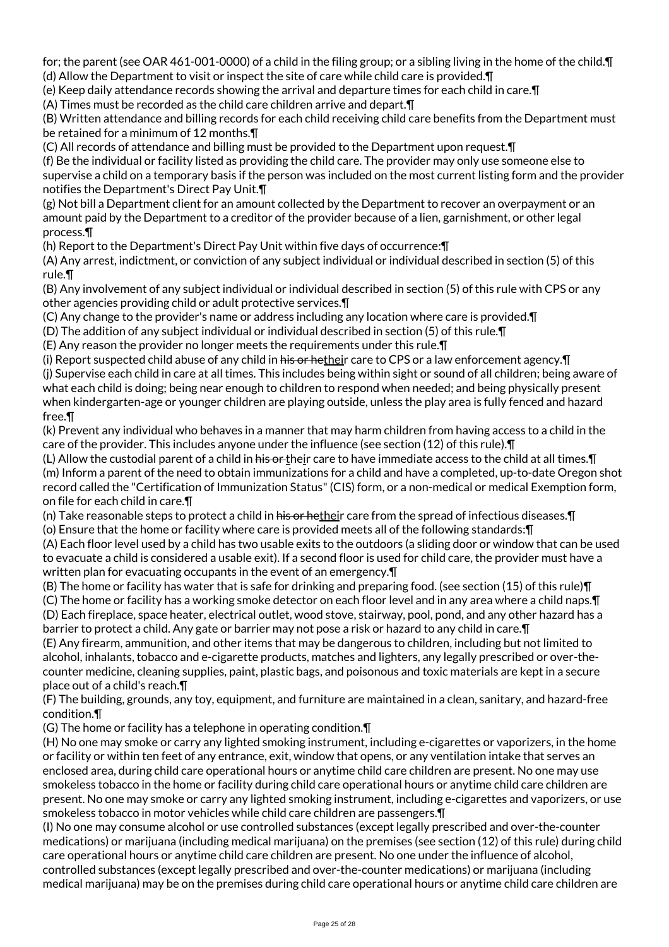for; the parent (see OAR 461-001-0000) of a child in the filing group; or a sibling living in the home of the child.¶ (d) Allow the Department to visit or inspect the site of care while child care is provided.¶

(e) Keep daily attendance records showing the arrival and departure times for each child in care.¶

(A) Times must be recorded as the child care children arrive and depart.¶

(B) Written attendance and billing records for each child receiving child care benefits from the Department must be retained for a minimum of 12 months.¶

(C) All records of attendance and billing must be provided to the Department upon request.¶ (f) Be the individual or facility listed as providing the child care. The provider may only use someone else to supervise a child on a temporary basis if the person was included on the most current listing form and the provider notifies the Department's Direct Pay Unit.¶

(g) Not bill a Department client for an amount collected by the Department to recover an overpayment or an amount paid by the Department to a creditor of the provider because of a lien, garnishment, or other legal process.¶

(h) Report to the Department's Direct Pay Unit within five days of occurrence:¶

(A) Any arrest, indictment, or conviction of any subject individual or individual described in section (5) of this rule.¶

(B) Any involvement of any subject individual or individual described in section (5) of this rule with CPS or any other agencies providing child or adult protective services.¶

(C) Any change to the provider's name or address including any location where care is provided.¶

(D) The addition of any subject individual or individual described in section (5) of this rule.¶

(E) Any reason the provider no longer meets the requirements under this rule.¶

(i) Report suspected child abuse of any child in his or hetheir care to CPS or a law enforcement agency. $\P$ (j) Supervise each child in care at all times. This includes being within sight or sound of all children; being aware of what each child is doing; being near enough to children to respond when needed; and being physically present when kindergarten-age or younger children are playing outside, unless the play area is fully fenced and hazard free.¶

(k) Prevent any individual who behaves in a manner that may harm children from having access to a child in the care of the provider. This includes anyone under the influence (see section (12) of this rule).¶

(L) Allow the custodial parent of a child in his or their care to have immediate access to the child at all times. $\P$ (m) Inform a parent of the need to obtain immunizations for a child and have a completed, up-to-date Oregon shot record called the "Certification of Immunization Status" (CIS) form, or a non-medical or medical Exemption form, on file for each child in care.¶

(n) Take reasonable steps to protect a child in his or hetheir care from the spread of infectious diseases. $\P$ 

(o) Ensure that the home or facility where care is provided meets all of the following standards:¶

(A) Each floor level used by a child has two usable exits to the outdoors (a sliding door or window that can be used to evacuate a child is considered a usable exit). If a second floor is used for child care, the provider must have a written plan for evacuating occupants in the event of an emergency.¶

(B) The home or facility has water that is safe for drinking and preparing food. (see section (15) of this rule)¶

(C) The home or facility has a working smoke detector on each floor level and in any area where a child naps.¶ (D) Each fireplace, space heater, electrical outlet, wood stove, stairway, pool, pond, and any other hazard has a barrier to protect a child. Any gate or barrier may not pose a risk or hazard to any child in care.¶

(E) Any firearm, ammunition, and other items that may be dangerous to children, including but not limited to alcohol, inhalants, tobacco and e-cigarette products, matches and lighters, any legally prescribed or over-thecounter medicine, cleaning supplies, paint, plastic bags, and poisonous and toxic materials are kept in a secure place out of a child's reach.¶

(F) The building, grounds, any toy, equipment, and furniture are maintained in a clean, sanitary, and hazard-free condition.¶

(G) The home or facility has a telephone in operating condition.¶

(H) No one may smoke or carry any lighted smoking instrument, including e-cigarettes or vaporizers, in the home or facility or within ten feet of any entrance, exit, window that opens, or any ventilation intake that serves an enclosed area, during child care operational hours or anytime child care children are present. No one may use smokeless tobacco in the home or facility during child care operational hours or anytime child care children are present. No one may smoke or carry any lighted smoking instrument, including e-cigarettes and vaporizers, or use smokeless tobacco in motor vehicles while child care children are passengers.¶

(I) No one may consume alcohol or use controlled substances (except legally prescribed and over-the-counter medications) or marijuana (including medical marijuana) on the premises (see section (12) of this rule) during child care operational hours or anytime child care children are present. No one under the influence of alcohol, controlled substances (except legally prescribed and over-the-counter medications) or marijuana (including medical marijuana) may be on the premises during child care operational hours or anytime child care children are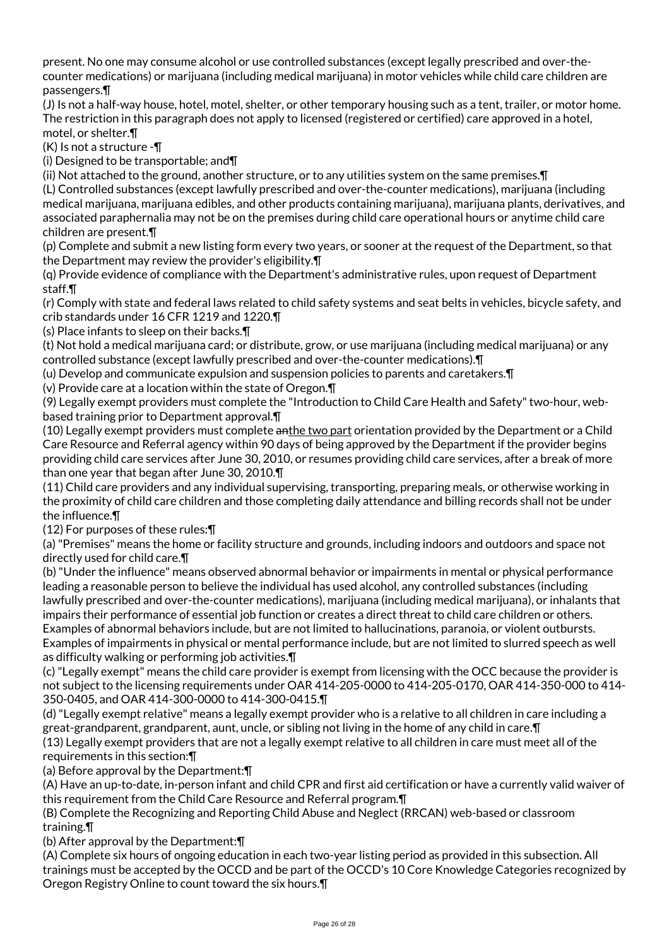present. No one may consume alcohol or use controlled substances (except legally prescribed and over-thecounter medications) or marijuana (including medical marijuana) in motor vehicles while child care children are passengers.¶

(J) Is not a half-way house, hotel, motel, shelter, or other temporary housing such as a tent, trailer, or motor home. The restriction in this paragraph does not apply to licensed (registered or certified) care approved in a hotel, motel, or shelter.¶

(K) Is not a structure -¶

(i) Designed to be transportable; and¶

(ii) Not attached to the ground, another structure, or to any utilities system on the same premises.¶

(L) Controlled substances (except lawfully prescribed and over-the-counter medications), marijuana (including medical marijuana, marijuana edibles, and other products containing marijuana), marijuana plants, derivatives, and associated paraphernalia may not be on the premises during child care operational hours or anytime child care children are present.¶

(p) Complete and submit a new listing form every two years, or sooner at the request of the Department, so that the Department may review the provider's eligibility.¶

(q) Provide evidence of compliance with the Department's administrative rules, upon request of Department staff.¶

(r) Comply with state and federal laws related to child safety systems and seat belts in vehicles, bicycle safety, and crib standards under 16 CFR 1219 and 1220.¶

(s) Place infants to sleep on their backs.¶

(t) Not hold a medical marijuana card; or distribute, grow, or use marijuana (including medical marijuana) or any controlled substance (except lawfully prescribed and over-the-counter medications).¶

(u) Develop and communicate expulsion and suspension policies to parents and caretakers.¶

(v) Provide care at a location within the state of Oregon.¶

(9) Legally exempt providers must complete the "Introduction to Child Care Health and Safety" two-hour, webbased training prior to Department approval.¶

(10) Legally exempt providers must complete anthe two part orientation provided by the Department or a Child Care Resource and Referral agency within 90 days of being approved by the Department if the provider begins providing child care services after June 30, 2010, or resumes providing child care services, after a break of more than one year that began after June 30, 2010.¶

(11) Child care providers and any individual supervising, transporting, preparing meals, or otherwise working in the proximity of child care children and those completing daily attendance and billing records shall not be under the influence.¶

(12) For purposes of these rules:¶

(a) "Premises" means the home or facility structure and grounds, including indoors and outdoors and space not directly used for child care.¶

(b) "Under the influence" means observed abnormal behavior or impairments in mental or physical performance leading a reasonable person to believe the individual has used alcohol, any controlled substances (including lawfully prescribed and over-the-counter medications), marijuana (including medical marijuana), or inhalants that impairs their performance of essential job function or creates a direct threat to child care children or others. Examples of abnormal behaviors include, but are not limited to hallucinations, paranoia, or violent outbursts. Examples of impairments in physical or mental performance include, but are not limited to slurred speech as well as difficulty walking or performing job activities.¶

(c) "Legally exempt" means the child care provider is exempt from licensing with the OCC because the provider is not subject to the licensing requirements under OAR 414-205-0000 to 414-205-0170, OAR 414-350-000 to 414- 350-0405, and OAR 414-300-0000 to 414-300-0415.¶

(d) "Legally exempt relative" means a legally exempt provider who is a relative to all children in care including a great-grandparent, grandparent, aunt, uncle, or sibling not living in the home of any child in care.¶ (13) Legally exempt providers that are not a legally exempt relative to all children in care must meet all of the requirements in this section:¶

(a) Before approval by the Department:¶

(A) Have an up-to-date, in-person infant and child CPR and first aid certification or have a currently valid waiver of this requirement from the Child Care Resource and Referral program.¶

(B) Complete the Recognizing and Reporting Child Abuse and Neglect (RRCAN) web-based or classroom training.¶

(b) After approval by the Department:¶

(A) Complete six hours of ongoing education in each two-year listing period as provided in this subsection. All trainings must be accepted by the OCCD and be part of the OCCD's 10 Core Knowledge Categories recognized by Oregon Registry Online to count toward the six hours.¶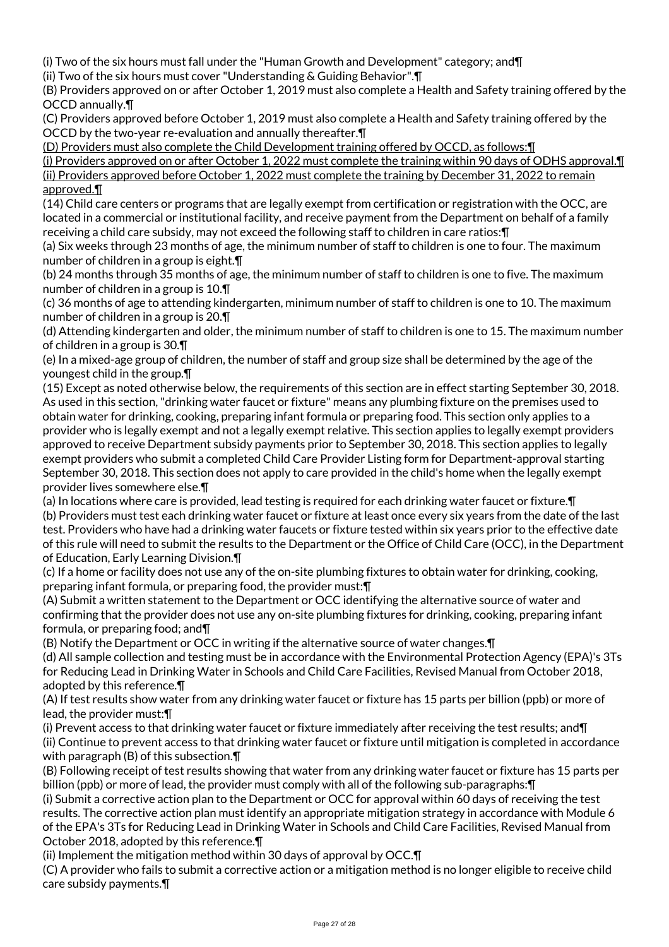(i) Two of the six hours must fall under the "Human Growth and Development" category; and¶

(ii) Two of the six hours must cover "Understanding & Guiding Behavior".¶

(B) Providers approved on or after October 1, 2019 must also complete a Health and Safety training offered by the OCCD annually.¶

(C) Providers approved before October 1, 2019 must also complete a Health and Safety training offered by the OCCD by the two-year re-evaluation and annually thereafter.¶

(D) Providers must also complete the Child Development training offered by OCCD, as follows:¶

(i) Providers approved on or after October 1, 2022 must complete the training within 90 days of ODHS approval.¶ (ii) Providers approved before October 1, 2022 must complete the training by December 31, 2022 to remain approved.¶

(14) Child care centers or programs that are legally exempt from certification or registration with the OCC, are located in a commercial or institutional facility, and receive payment from the Department on behalf of a family receiving a child care subsidy, may not exceed the following staff to children in care ratios:¶

(a) Six weeks through 23 months of age, the minimum number of staff to children is one to four. The maximum number of children in a group is eight.¶

(b) 24 months through 35 months of age, the minimum number of staff to children is one to five. The maximum number of children in a group is 10.¶

(c) 36 months of age to attending kindergarten, minimum number of staff to children is one to 10. The maximum number of children in a group is 20.¶

(d) Attending kindergarten and older, the minimum number of staff to children is one to 15. The maximum number of children in a group is 30.¶

(e) In a mixed-age group of children, the number of staff and group size shall be determined by the age of the youngest child in the group.¶

(15) Except as noted otherwise below, the requirements of this section are in effect starting September 30, 2018. As used in this section, "drinking water faucet or fixture" means any plumbing fixture on the premises used to obtain water for drinking, cooking, preparing infant formula or preparing food. This section only applies to a provider who is legally exempt and not a legally exempt relative. This section applies to legally exempt providers approved to receive Department subsidy payments prior to September 30, 2018. This section applies to legally exempt providers who submit a completed Child Care Provider Listing form for Department-approval starting September 30, 2018. This section does not apply to care provided in the child's home when the legally exempt provider lives somewhere else.¶

(a) In locations where care is provided, lead testing is required for each drinking water faucet or fixture.¶ (b) Providers must test each drinking water faucet or fixture at least once every six years from the date of the last test. Providers who have had a drinking water faucets or fixture tested within six years prior to the effective date of this rule will need to submit the results to the Department or the Office of Child Care (OCC), in the Department of Education, Early Learning Division.¶

(c) If a home or facility does not use any of the on-site plumbing fixtures to obtain water for drinking, cooking, preparing infant formula, or preparing food, the provider must:¶

(A) Submit a written statement to the Department or OCC identifying the alternative source of water and confirming that the provider does not use any on-site plumbing fixtures for drinking, cooking, preparing infant formula, or preparing food; and¶

(B) Notify the Department or OCC in writing if the alternative source of water changes.¶

(d) All sample collection and testing must be in accordance with the Environmental Protection Agency (EPA)'s 3Ts for Reducing Lead in Drinking Water in Schools and Child Care Facilities, Revised Manual from October 2018, adopted by this reference.¶

(A) If test results show water from any drinking water faucet or fixture has 15 parts per billion (ppb) or more of lead, the provider must:¶

(i) Prevent access to that drinking water faucet or fixture immediately after receiving the test results; and¶ (ii) Continue to prevent access to that drinking water faucet or fixture until mitigation is completed in accordance with paragraph (B) of this subsection.¶

(B) Following receipt of test results showing that water from any drinking water faucet or fixture has 15 parts per billion (ppb) or more of lead, the provider must comply with all of the following sub-paragraphs:¶

(i) Submit a corrective action plan to the Department or OCC for approval within 60 days of receiving the test results. The corrective action plan must identify an appropriate mitigation strategy in accordance with Module 6 of the EPA's 3Ts for Reducing Lead in Drinking Water in Schools and Child Care Facilities, Revised Manual from October 2018, adopted by this reference.¶

(ii) Implement the mitigation method within 30 days of approval by OCC.¶

(C) A provider who fails to submit a corrective action or a mitigation method is no longer eligible to receive child care subsidy payments.¶